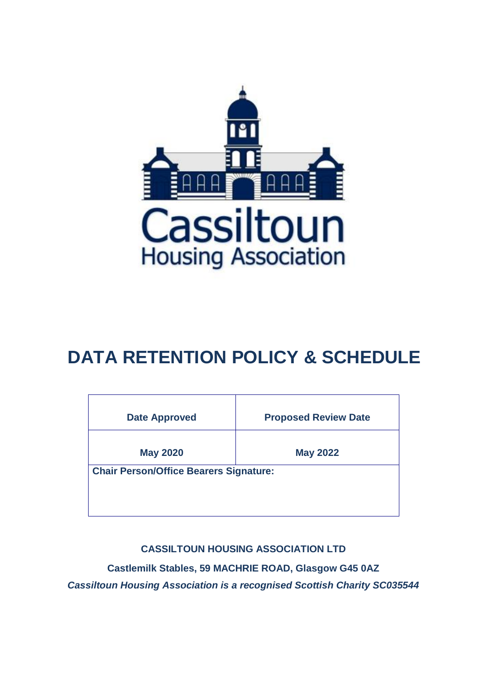

# **DATA RETENTION POLICY & SCHEDULE**

| <b>Proposed Review Date</b>                   |
|-----------------------------------------------|
| <b>May 2022</b>                               |
| <b>Chair Person/Office Bearers Signature:</b> |
|                                               |
|                                               |
|                                               |

**CASSILTOUN HOUSING ASSOCIATION LTD**

**Castlemilk Stables, 59 MACHRIE ROAD, Glasgow G45 0AZ** *Cassiltoun Housing Association is a recognised Scottish Charity SC035544*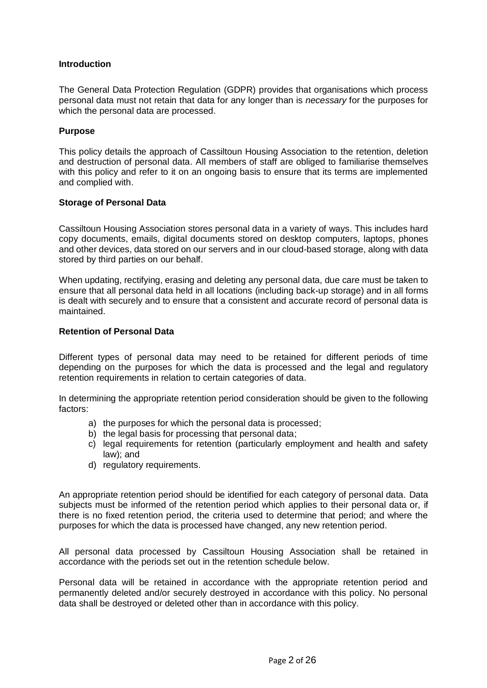## **Introduction**

The General Data Protection Regulation (GDPR) provides that organisations which process personal data must not retain that data for any longer than is *necessary* for the purposes for which the personal data are processed.

## **Purpose**

This policy details the approach of Cassiltoun Housing Association to the retention, deletion and destruction of personal data. All members of staff are obliged to familiarise themselves with this policy and refer to it on an ongoing basis to ensure that its terms are implemented and complied with.

## **Storage of Personal Data**

Cassiltoun Housing Association stores personal data in a variety of ways. This includes hard copy documents, emails, digital documents stored on desktop computers, laptops, phones and other devices, data stored on our servers and in our cloud-based storage, along with data stored by third parties on our behalf.

When updating, rectifying, erasing and deleting any personal data, due care must be taken to ensure that all personal data held in all locations (including back-up storage) and in all forms is dealt with securely and to ensure that a consistent and accurate record of personal data is maintained.

## **Retention of Personal Data**

Different types of personal data may need to be retained for different periods of time depending on the purposes for which the data is processed and the legal and regulatory retention requirements in relation to certain categories of data.

In determining the appropriate retention period consideration should be given to the following factors:

- a) the purposes for which the personal data is processed;
- b) the legal basis for processing that personal data;
- c) legal requirements for retention (particularly employment and health and safety law); and
- d) regulatory requirements.

An appropriate retention period should be identified for each category of personal data. Data subjects must be informed of the retention period which applies to their personal data or, if there is no fixed retention period, the criteria used to determine that period; and where the purposes for which the data is processed have changed, any new retention period.

All personal data processed by Cassiltoun Housing Association shall be retained in accordance with the periods set out in the retention schedule below.

Personal data will be retained in accordance with the appropriate retention period and permanently deleted and/or securely destroyed in accordance with this policy. No personal data shall be destroyed or deleted other than in accordance with this policy.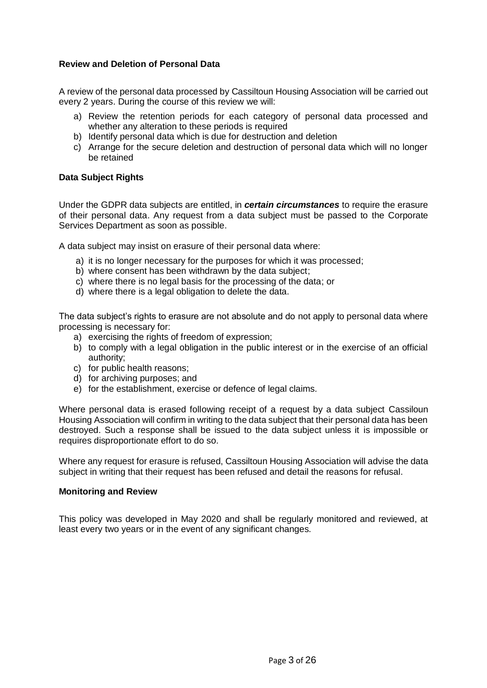# **Review and Deletion of Personal Data**

A review of the personal data processed by Cassiltoun Housing Association will be carried out every 2 years. During the course of this review we will:

- a) Review the retention periods for each category of personal data processed and whether any alteration to these periods is required
- b) Identify personal data which is due for destruction and deletion
- c) Arrange for the secure deletion and destruction of personal data which will no longer be retained

## **Data Subject Rights**

Under the GDPR data subjects are entitled, in *certain circumstances* to require the erasure of their personal data. Any request from a data subject must be passed to the Corporate Services Department as soon as possible.

A data subject may insist on erasure of their personal data where:

- a) it is no longer necessary for the purposes for which it was processed;
- b) where consent has been withdrawn by the data subject;
- c) where there is no legal basis for the processing of the data; or
- d) where there is a legal obligation to delete the data.

The data subject's rights to erasure are not absolute and do not apply to personal data where processing is necessary for:

- a) exercising the rights of freedom of expression;
- b) to comply with a legal obligation in the public interest or in the exercise of an official authority;
- c) for public health reasons;
- d) for archiving purposes; and
- e) for the establishment, exercise or defence of legal claims.

Where personal data is erased following receipt of a request by a data subject Cassiloun Housing Association will confirm in writing to the data subject that their personal data has been destroyed. Such a response shall be issued to the data subject unless it is impossible or requires disproportionate effort to do so.

Where any request for erasure is refused, Cassiltoun Housing Association will advise the data subject in writing that their request has been refused and detail the reasons for refusal.

#### **Monitoring and Review**

This policy was developed in May 2020 and shall be regularly monitored and reviewed, at least every two years or in the event of any significant changes.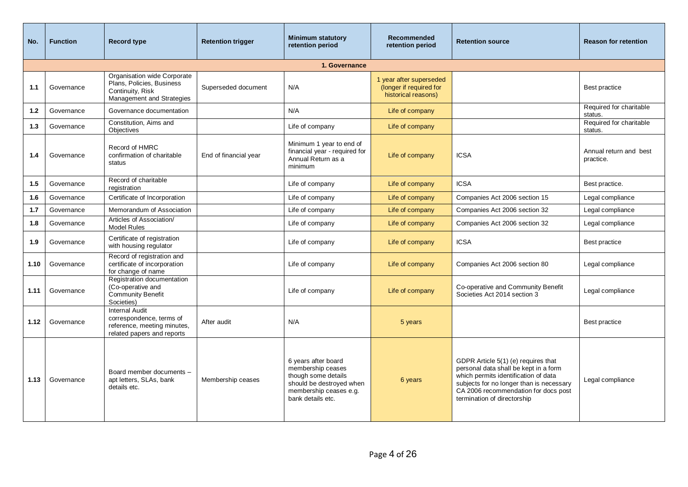| No.  | <b>Function</b> | <b>Record type</b>                                                                                             | <b>Retention trigger</b> | <b>Minimum statutory</b><br>retention period                                                                                               | Recommended<br>retention period                                           | <b>Retention source</b>                                                                                                                                                                                                                 | <b>Reason for retention</b>         |
|------|-----------------|----------------------------------------------------------------------------------------------------------------|--------------------------|--------------------------------------------------------------------------------------------------------------------------------------------|---------------------------------------------------------------------------|-----------------------------------------------------------------------------------------------------------------------------------------------------------------------------------------------------------------------------------------|-------------------------------------|
|      |                 |                                                                                                                |                          | 1. Governance                                                                                                                              |                                                                           |                                                                                                                                                                                                                                         |                                     |
| 1.1  | Governance      | Organisation wide Corporate<br>Plans, Policies, Business<br>Continuity, Risk<br>Management and Strategies      | Superseded document      | N/A                                                                                                                                        | 1 year after superseded<br>(longer if required for<br>historical reasons) |                                                                                                                                                                                                                                         | Best practice                       |
| 1.2  | Governance      | Governance documentation                                                                                       |                          | N/A                                                                                                                                        | Life of company                                                           |                                                                                                                                                                                                                                         | Required for charitable<br>status.  |
| 1.3  | Governance      | Constitution, Aims and<br>Objectives                                                                           |                          | Life of company                                                                                                                            | Life of company                                                           |                                                                                                                                                                                                                                         | Required for charitable<br>status.  |
| 1.4  | Governance      | Record of HMRC<br>confirmation of charitable<br>status                                                         | End of financial year    | Minimum 1 year to end of<br>financial year - required for<br>Annual Return as a<br>minimum                                                 | Life of company                                                           | <b>ICSA</b>                                                                                                                                                                                                                             | Annual return and best<br>practice. |
| 1.5  | Governance      | Record of charitable<br>registration                                                                           |                          | Life of company                                                                                                                            | Life of company                                                           | <b>ICSA</b>                                                                                                                                                                                                                             | Best practice.                      |
| 1.6  | Governance      | Certificate of Incorporation                                                                                   |                          | Life of company                                                                                                                            | Life of company                                                           | Companies Act 2006 section 15                                                                                                                                                                                                           | Legal compliance                    |
| 1.7  | Governance      | Memorandum of Association                                                                                      |                          | Life of company                                                                                                                            | Life of company                                                           | Companies Act 2006 section 32                                                                                                                                                                                                           | Legal compliance                    |
| 1.8  | Governance      | Articles of Association/<br><b>Model Rules</b>                                                                 |                          | Life of company                                                                                                                            | Life of company                                                           | Companies Act 2006 section 32                                                                                                                                                                                                           | Legal compliance                    |
| 1.9  | Governance      | Certificate of registration<br>with housing regulator                                                          |                          | Life of company                                                                                                                            | Life of company                                                           | <b>ICSA</b>                                                                                                                                                                                                                             | Best practice                       |
| 1.10 | Governance      | Record of registration and<br>certificate of incorporation<br>for change of name                               |                          | Life of company                                                                                                                            | Life of company                                                           | Companies Act 2006 section 80                                                                                                                                                                                                           | Legal compliance                    |
| 1.11 | Governance      | Registration documentation<br>(Co-operative and<br><b>Community Benefit</b><br>Societies)                      |                          | Life of company                                                                                                                            | Life of company                                                           | Co-operative and Community Benefit<br>Societies Act 2014 section 3                                                                                                                                                                      | Legal compliance                    |
| 1.12 | Governance      | <b>Internal Audit</b><br>correspondence, terms of<br>reference, meeting minutes,<br>related papers and reports | After audit              | N/A                                                                                                                                        | 5 years                                                                   |                                                                                                                                                                                                                                         | Best practice                       |
| 1.13 | Governance      | Board member documents -<br>apt letters, SLAs, bank<br>details etc.                                            | Membership ceases        | 6 years after board<br>membership ceases<br>though some details<br>should be destroyed when<br>membership ceases e.g.<br>bank details etc. | 6 years                                                                   | GDPR Article 5(1) (e) requires that<br>personal data shall be kept in a form<br>which permits identification of data<br>subjects for no longer than is necessary<br>CA 2006 recommendation for docs post<br>termination of directorship | Legal compliance                    |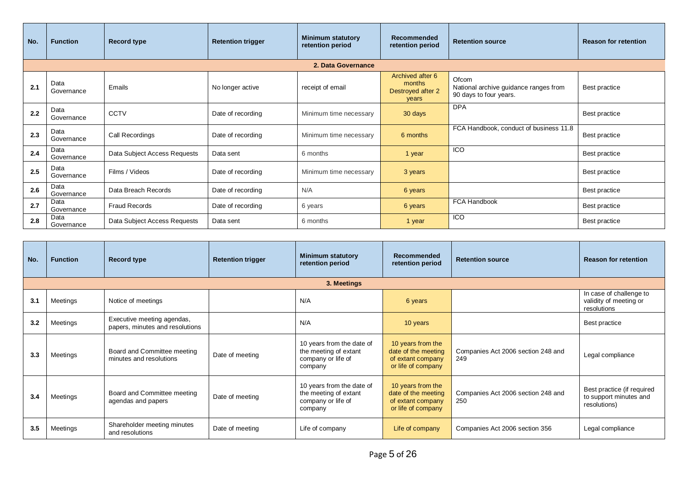| No. | <b>Function</b>    | <b>Record type</b>           | <b>Retention trigger</b> | <b>Minimum statutory</b><br>retention period | Recommended<br>retention period                          | <b>Retention source</b>                                                  | <b>Reason for retention</b> |
|-----|--------------------|------------------------------|--------------------------|----------------------------------------------|----------------------------------------------------------|--------------------------------------------------------------------------|-----------------------------|
|     |                    |                              |                          | 2. Data Governance                           |                                                          |                                                                          |                             |
| 2.1 | Data<br>Governance | Emails                       | No longer active         | receipt of email                             | Archived after 6<br>months<br>Destroyed after 2<br>vears | Ofcom<br>National archive guidance ranges from<br>90 days to four years. | Best practice               |
| 2.2 | Data<br>Governance | CCTV                         | Date of recording        | Minimum time necessary                       | 30 days                                                  | <b>DPA</b>                                                               | Best practice               |
| 2.3 | Data<br>Governance | Call Recordings              | Date of recording        | Minimum time necessary                       | 6 months                                                 | FCA Handbook, conduct of business 11.8                                   | Best practice               |
| 2.4 | Data<br>Governance | Data Subject Access Requests | Data sent                | 6 months                                     | 1 year                                                   | ICO                                                                      | Best practice               |
| 2.5 | Data<br>Governance | Films / Videos               | Date of recording        | Minimum time necessary                       | 3 years                                                  |                                                                          | Best practice               |
| 2.6 | Data<br>Governance | Data Breach Records          | Date of recording        | N/A                                          | 6 years                                                  |                                                                          | Best practice               |
| 2.7 | Data<br>Governance | <b>Fraud Records</b>         | Date of recording        | 6 years                                      | 6 years                                                  | <b>FCA Handbook</b>                                                      | Best practice               |
| 2.8 | Data<br>Governance | Data Subject Access Requests | Data sent                | 6 months                                     | 1 year                                                   | <b>ICO</b>                                                               | Best practice               |

| No. | <b>Function</b> | <b>Record type</b>                                            | <b>Retention trigger</b> | <b>Minimum statutory</b><br>retention period                                        | Recommended<br>retention period                                                     | <b>Retention source</b>                   | <b>Reason for retention</b>                                          |  |  |  |
|-----|-----------------|---------------------------------------------------------------|--------------------------|-------------------------------------------------------------------------------------|-------------------------------------------------------------------------------------|-------------------------------------------|----------------------------------------------------------------------|--|--|--|
|     | 3. Meetings     |                                                               |                          |                                                                                     |                                                                                     |                                           |                                                                      |  |  |  |
| 3.1 | Meetings        | Notice of meetings                                            |                          | N/A                                                                                 | 6 years                                                                             |                                           | In case of challenge to<br>validity of meeting or<br>resolutions     |  |  |  |
| 3.2 | Meetings        | Executive meeting agendas,<br>papers, minutes and resolutions |                          | N/A                                                                                 | 10 years                                                                            |                                           | Best practice                                                        |  |  |  |
| 3.3 | Meetings        | Board and Committee meeting<br>minutes and resolutions        | Date of meeting          | 10 years from the date of<br>the meeting of extant<br>company or life of<br>company | 10 years from the<br>date of the meeting<br>of extant company<br>or life of company | Companies Act 2006 section 248 and<br>249 | Legal compliance                                                     |  |  |  |
| 3.4 | Meetings        | Board and Committee meeting<br>agendas and papers             | Date of meeting          | 10 years from the date of<br>the meeting of extant<br>company or life of<br>company | 10 years from the<br>date of the meeting<br>of extant company<br>or life of company | Companies Act 2006 section 248 and<br>250 | Best practice (if required<br>to support minutes and<br>resolutions) |  |  |  |
| 3.5 | Meetings        | Shareholder meeting minutes<br>and resolutions                | Date of meeting          | Life of company                                                                     | Life of company                                                                     | Companies Act 2006 section 356            | Legal compliance                                                     |  |  |  |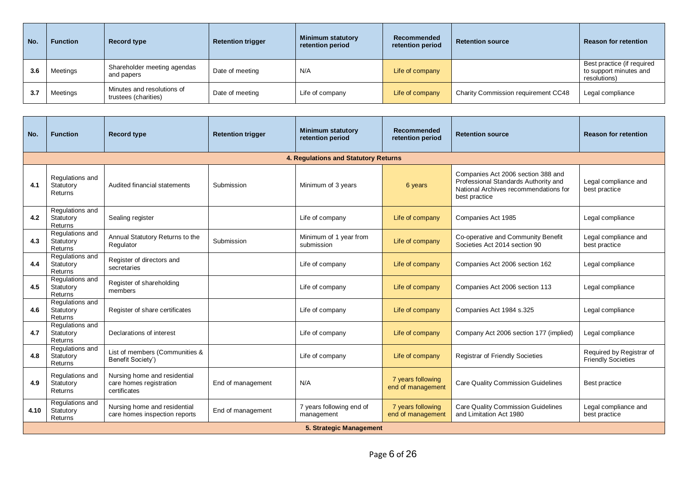| No. | <b>Function</b> | Record type                                        | <b>Retention trigger</b> | <b>Minimum statutory</b><br>retention period | Recommended<br>retention period | <b>Retention source</b>             | <b>Reason for retention</b>                                          |
|-----|-----------------|----------------------------------------------------|--------------------------|----------------------------------------------|---------------------------------|-------------------------------------|----------------------------------------------------------------------|
| 3.6 | Meetings        | Shareholder meeting agendas<br>and papers          | Date of meeting          | N/A                                          | Life of company                 |                                     | Best practice (if required<br>to support minutes and<br>resolutions) |
| 3.7 | Meetings        | Minutes and resolutions of<br>trustees (charities) | Date of meeting          | Life of company                              | Life of company                 | Charity Commission requirement CC48 | Legal compliance                                                     |

| No.  | <b>Function</b>                         | <b>Record type</b>                                                      | <b>Retention trigger</b> | <b>Minimum statutory</b><br>retention period | <b>Recommended</b><br>retention period | <b>Retention source</b>                                                                                                              | <b>Reason for retention</b>                           |
|------|-----------------------------------------|-------------------------------------------------------------------------|--------------------------|----------------------------------------------|----------------------------------------|--------------------------------------------------------------------------------------------------------------------------------------|-------------------------------------------------------|
|      |                                         |                                                                         |                          | 4. Regulations and Statutory Returns         |                                        |                                                                                                                                      |                                                       |
| 4.1  | Regulations and<br>Statutory<br>Returns | Audited financial statements                                            | Submission               | Minimum of 3 years                           | 6 years                                | Companies Act 2006 section 388 and<br>Professional Standards Authority and<br>National Archives recommendations for<br>best practice | Legal compliance and<br>best practice                 |
| 4.2  | Regulations and<br>Statutory<br>Returns | Sealing register                                                        |                          | Life of company                              | Life of company                        | Companies Act 1985                                                                                                                   | Legal compliance                                      |
| 4.3  | Regulations and<br>Statutory<br>Returns | Annual Statutory Returns to the<br>Regulator                            | Submission               | Minimum of 1 year from<br>submission         | Life of company                        | Co-operative and Community Benefit<br>Societies Act 2014 section 90                                                                  | Legal compliance and<br>best practice                 |
| 4.4  | Regulations and<br>Statutory<br>Returns | Register of directors and<br>secretaries                                |                          | Life of company                              | Life of company                        | Companies Act 2006 section 162                                                                                                       | Legal compliance                                      |
| 4.5  | Regulations and<br>Statutory<br>Returns | Register of shareholding<br>members                                     |                          | Life of company                              | Life of company                        | Companies Act 2006 section 113                                                                                                       | Legal compliance                                      |
| 4.6  | Regulations and<br>Statutory<br>Returns | Register of share certificates                                          |                          | Life of company                              | Life of company                        | Companies Act 1984 s.325                                                                                                             | Legal compliance                                      |
| 4.7  | Regulations and<br>Statutory<br>Returns | Declarations of interest                                                |                          | Life of company                              | Life of company                        | Company Act 2006 section 177 (implied)                                                                                               | Legal compliance                                      |
| 4.8  | Regulations and<br>Statutory<br>Returns | List of members (Communities &<br>Benefit Society')                     |                          | Life of company                              | Life of company                        | <b>Registrar of Friendly Societies</b>                                                                                               | Required by Registrar of<br><b>Friendly Societies</b> |
| 4.9  | Regulations and<br>Statutory<br>Returns | Nursing home and residential<br>care homes registration<br>certificates | End of management        | N/A                                          | 7 years following<br>end of management | <b>Care Quality Commission Guidelines</b>                                                                                            | Best practice                                         |
| 4.10 | Regulations and<br>Statutory<br>Returns | Nursing home and residential<br>care homes inspection reports           | End of management        | 7 years following end of<br>management       | 7 years following<br>end of management | <b>Care Quality Commission Guidelines</b><br>and Limitation Act 1980                                                                 | Legal compliance and<br>best practice                 |
|      |                                         |                                                                         |                          | 5. Strategic Management                      |                                        |                                                                                                                                      |                                                       |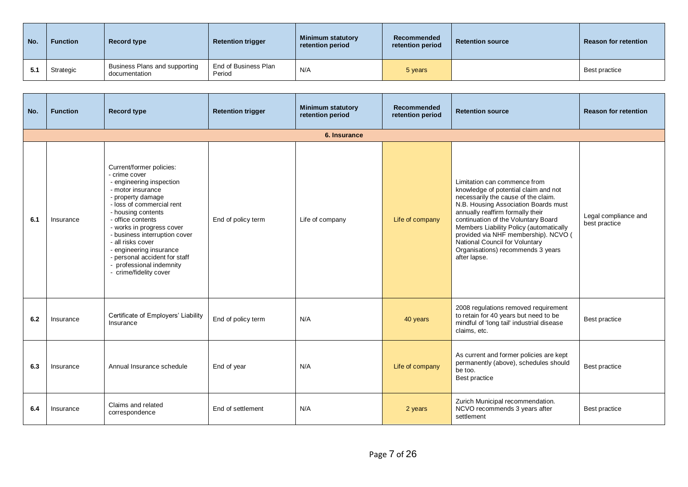| No. | <b>Function</b> | <b>Record type</b>                             | <b>Retention trigger</b>       | Minimum statutory<br>retention period | Recommended<br>retention period | <b>Retention source</b> | <b>Reason for retention</b> |
|-----|-----------------|------------------------------------------------|--------------------------------|---------------------------------------|---------------------------------|-------------------------|-----------------------------|
| 5.1 | Strategic       | Business Plans and supporting<br>documentation | End of Business Plan<br>Period | N/A                                   | 5 years                         |                         | Best practice               |

| No. | <b>Function</b> | <b>Record type</b>                                                                                                                                                                                                                                                                                                                                                                           | <b>Retention trigger</b> | <b>Minimum statutory</b><br>retention period | <b>Recommended</b><br>retention period | <b>Retention source</b>                                                                                                                                                                                                                                                                                                                                                                                  | <b>Reason for retention</b>           |
|-----|-----------------|----------------------------------------------------------------------------------------------------------------------------------------------------------------------------------------------------------------------------------------------------------------------------------------------------------------------------------------------------------------------------------------------|--------------------------|----------------------------------------------|----------------------------------------|----------------------------------------------------------------------------------------------------------------------------------------------------------------------------------------------------------------------------------------------------------------------------------------------------------------------------------------------------------------------------------------------------------|---------------------------------------|
|     |                 |                                                                                                                                                                                                                                                                                                                                                                                              |                          | 6. Insurance                                 |                                        |                                                                                                                                                                                                                                                                                                                                                                                                          |                                       |
| 6.1 | Insurance       | Current/former policies:<br>- crime cover<br>- engineering inspection<br>- motor insurance<br>- property damage<br>- loss of commercial rent<br>- housing contents<br>- office contents<br>- works in progress cover<br>- business interruption cover<br>- all risks cover<br>- engineering insurance<br>- personal accident for staff<br>- professional indemnity<br>- crime/fidelity cover | End of policy term       | Life of company                              | Life of company                        | Limitation can commence from<br>knowledge of potential claim and not<br>necessarily the cause of the claim.<br>N.B. Housing Association Boards must<br>annually reaffirm formally their<br>continuation of the Voluntary Board<br>Members Liability Policy (automatically<br>provided via NHF membership). NCVO (<br>National Council for Voluntary<br>Organisations) recommends 3 years<br>after lapse. | Legal compliance and<br>best practice |
| 6.2 | Insurance       | Certificate of Employers' Liability<br>Insurance                                                                                                                                                                                                                                                                                                                                             | End of policy term       | N/A                                          | 40 years                               | 2008 regulations removed requirement<br>to retain for 40 years but need to be<br>mindful of 'long tail' industrial disease<br>claims, etc.                                                                                                                                                                                                                                                               | Best practice                         |
| 6.3 | Insurance       | Annual Insurance schedule                                                                                                                                                                                                                                                                                                                                                                    | End of year              | N/A                                          | Life of company                        | As current and former policies are kept<br>permanently (above), schedules should<br>be too.<br>Best practice                                                                                                                                                                                                                                                                                             | Best practice                         |
| 6.4 | Insurance       | Claims and related<br>correspondence                                                                                                                                                                                                                                                                                                                                                         | End of settlement        | N/A                                          | 2 years                                | Zurich Municipal recommendation.<br>NCVO recommends 3 years after<br>settlement                                                                                                                                                                                                                                                                                                                          | Best practice                         |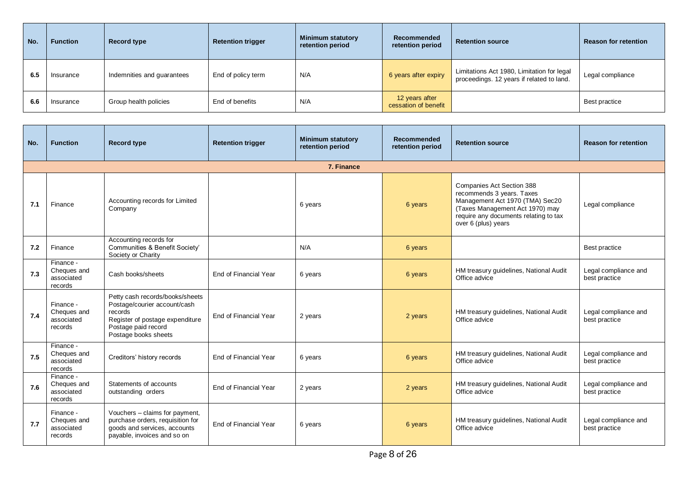| No. | <b>Function</b> | Record type                | <b>Retention trigger</b> | <b>Minimum statutory</b><br>retention period | Recommended<br>retention period        | <b>Retention source</b>                                                                 | <b>Reason for retention</b> |
|-----|-----------------|----------------------------|--------------------------|----------------------------------------------|----------------------------------------|-----------------------------------------------------------------------------------------|-----------------------------|
| 6.5 | Insurance       | Indemnities and guarantees | End of policy term       | N/A                                          | 6 years after expiry                   | Limitations Act 1980, Limitation for legal<br>proceedings. 12 years if related to land. | Legal compliance            |
| 6.6 | Insurance       | Group health policies      | End of benefits          | N/A                                          | 12 years after<br>cessation of benefit |                                                                                         | Best practice               |

| No. | <b>Function</b>                                   | <b>Record type</b>                                                                                                                                           | <b>Retention trigger</b> | <b>Minimum statutory</b><br>retention period | Recommended<br>retention period | <b>Retention source</b>                                                                                                                                                                             | <b>Reason for retention</b>           |  |  |  |  |
|-----|---------------------------------------------------|--------------------------------------------------------------------------------------------------------------------------------------------------------------|--------------------------|----------------------------------------------|---------------------------------|-----------------------------------------------------------------------------------------------------------------------------------------------------------------------------------------------------|---------------------------------------|--|--|--|--|
|     | 7. Finance                                        |                                                                                                                                                              |                          |                                              |                                 |                                                                                                                                                                                                     |                                       |  |  |  |  |
| 7.1 | Finance                                           | Accounting records for Limited<br>Company                                                                                                                    |                          | 6 years                                      | 6 years                         | <b>Companies Act Section 388</b><br>recommends 3 years. Taxes<br>Management Act 1970 (TMA) Sec20<br>(Taxes Management Act 1970) may<br>require any documents relating to tax<br>over 6 (plus) years | Legal compliance                      |  |  |  |  |
| 7.2 | Finance                                           | Accounting records for<br>Communities & Benefit Society'<br>Society or Charity                                                                               |                          | N/A                                          | 6 years                         |                                                                                                                                                                                                     | Best practice                         |  |  |  |  |
| 7.3 | Finance -<br>Cheques and<br>associated<br>records | Cash books/sheets                                                                                                                                            | End of Financial Year    | 6 years                                      | 6 years                         | HM treasury guidelines, National Audit<br>Office advice                                                                                                                                             | Legal compliance and<br>best practice |  |  |  |  |
| 7.4 | Finance -<br>Cheques and<br>associated<br>records | Petty cash records/books/sheets<br>Postage/courier account/cash<br>records<br>Register of postage expenditure<br>Postage paid record<br>Postage books sheets | End of Financial Year    | 2 years                                      | 2 years                         | HM treasury guidelines, National Audit<br>Office advice                                                                                                                                             | Legal compliance and<br>best practice |  |  |  |  |
| 7.5 | Finance -<br>Cheques and<br>associated<br>records | Creditors' history records                                                                                                                                   | End of Financial Year    | 6 years                                      | 6 years                         | HM treasury guidelines, National Audit<br>Office advice                                                                                                                                             | Legal compliance and<br>best practice |  |  |  |  |
| 7.6 | Finance -<br>Cheques and<br>associated<br>records | Statements of accounts<br>outstanding orders                                                                                                                 | End of Financial Year    | 2 years                                      | 2 years                         | HM treasury guidelines, National Audit<br>Office advice                                                                                                                                             | Legal compliance and<br>best practice |  |  |  |  |
| 7.7 | Finance -<br>Cheques and<br>associated<br>records | Vouchers - claims for payment,<br>purchase orders, requisition for<br>goods and services, accounts<br>payable, invoices and so on                            | End of Financial Year    | 6 years                                      | 6 years                         | HM treasury guidelines, National Audit<br>Office advice                                                                                                                                             | Legal compliance and<br>best practice |  |  |  |  |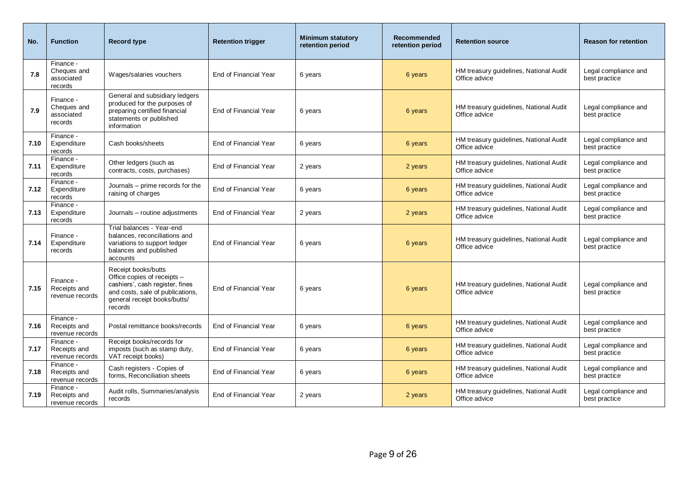| No.  | <b>Function</b>                                   | <b>Record type</b>                                                                                                                                                   | <b>Retention trigger</b> | <b>Minimum statutory</b><br>retention period | <b>Recommended</b><br>retention period | <b>Retention source</b>                                 | <b>Reason for retention</b>           |
|------|---------------------------------------------------|----------------------------------------------------------------------------------------------------------------------------------------------------------------------|--------------------------|----------------------------------------------|----------------------------------------|---------------------------------------------------------|---------------------------------------|
| 7.8  | Finance -<br>Cheques and<br>associated<br>records | Wages/salaries vouchers                                                                                                                                              | End of Financial Year    | 6 years                                      | 6 years                                | HM treasury guidelines, National Audit<br>Office advice | Legal compliance and<br>best practice |
| 7.9  | Finance -<br>Cheques and<br>associated<br>records | General and subsidiary ledgers<br>produced for the purposes of<br>preparing certified financial<br>statements or published<br>information                            | End of Financial Year    | 6 years                                      | 6 years                                | HM treasury guidelines, National Audit<br>Office advice | Legal compliance and<br>best practice |
| 7.10 | Finance -<br>Expenditure<br>records               | Cash books/sheets                                                                                                                                                    | End of Financial Year    | 6 years                                      | 6 years                                | HM treasury guidelines, National Audit<br>Office advice | Legal compliance and<br>best practice |
| 7.11 | Finance -<br>Expenditure<br>records               | Other ledgers (such as<br>contracts, costs, purchases)                                                                                                               | End of Financial Year    | 2 years                                      | 2 years                                | HM treasury guidelines, National Audit<br>Office advice | Legal compliance and<br>best practice |
| 7.12 | Finance -<br>Expenditure<br>records               | Journals - prime records for the<br>raising of charges                                                                                                               | End of Financial Year    | 6 years                                      | 6 years                                | HM treasury guidelines, National Audit<br>Office advice | Legal compliance and<br>best practice |
| 7.13 | Finance -<br>Expenditure<br>records               | Journals - routine adjustments                                                                                                                                       | End of Financial Year    | 2 years                                      | 2 years                                | HM treasury guidelines, National Audit<br>Office advice | Legal compliance and<br>best practice |
| 7.14 | Finance -<br>Expenditure<br>records               | Trial balances - Year-end<br>balances, reconciliations and<br>variations to support ledger<br>balances and published<br>accounts                                     | End of Financial Year    | 6 years                                      | 6 years                                | HM treasury quidelines, National Audit<br>Office advice | Legal compliance and<br>best practice |
| 7.15 | Finance -<br>Receipts and<br>revenue records      | Receipt books/butts<br>Office copies of receipts -<br>cashiers', cash register, fines<br>and costs, sale of publications,<br>general receipt books/butts/<br>records | End of Financial Year    | 6 years                                      | 6 years                                | HM treasury guidelines, National Audit<br>Office advice | Legal compliance and<br>best practice |
| 7.16 | Finance -<br>Receipts and<br>revenue records      | Postal remittance books/records                                                                                                                                      | End of Financial Year    | 6 years                                      | 6 years                                | HM treasury guidelines, National Audit<br>Office advice | Legal compliance and<br>best practice |
| 7.17 | Finance -<br>Receipts and<br>revenue records      | Receipt books/records for<br>imposts (such as stamp duty,<br>VAT receipt books)                                                                                      | End of Financial Year    | 6 years                                      | 6 years                                | HM treasury guidelines, National Audit<br>Office advice | Legal compliance and<br>best practice |
| 7.18 | Finance -<br>Receipts and<br>revenue records      | Cash registers - Copies of<br>forms, Reconciliation sheets                                                                                                           | End of Financial Year    | 6 years                                      | 6 years                                | HM treasury guidelines, National Audit<br>Office advice | Legal compliance and<br>best practice |
| 7.19 | Finance -<br>Receipts and<br>revenue records      | Audit rolls, Summaries/analysis<br>records                                                                                                                           | End of Financial Year    | 2 years                                      | 2 years                                | HM treasury guidelines, National Audit<br>Office advice | Legal compliance and<br>best practice |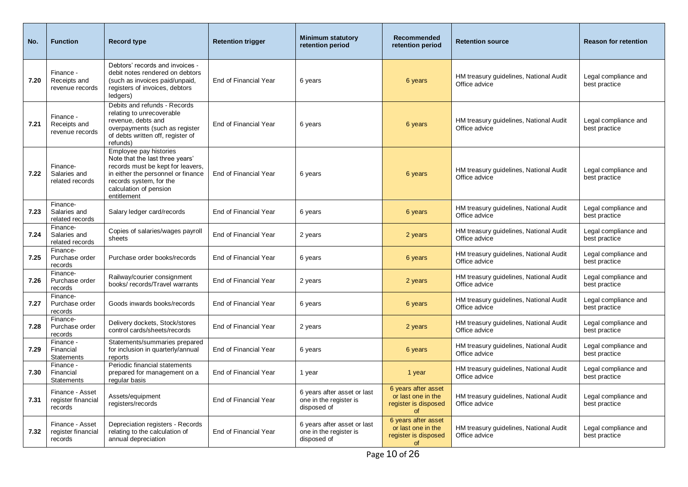| No.  | <b>Function</b>                                  | <b>Record type</b>                                                                                                                                                                                       | <b>Retention trigger</b> | <b>Minimum statutory</b><br>retention period                         | <b>Recommended</b><br>retention period                                         | <b>Retention source</b>                                 | <b>Reason for retention</b>           |
|------|--------------------------------------------------|----------------------------------------------------------------------------------------------------------------------------------------------------------------------------------------------------------|--------------------------|----------------------------------------------------------------------|--------------------------------------------------------------------------------|---------------------------------------------------------|---------------------------------------|
| 7.20 | Finance -<br>Receipts and<br>revenue records     | Debtors' records and invoices -<br>debit notes rendered on debtors<br>(such as invoices paid/unpaid,<br>registers of invoices, debtors<br>ledgers)                                                       | End of Financial Year    | 6 years                                                              | 6 years                                                                        | HM treasury guidelines, National Audit<br>Office advice | Legal compliance and<br>best practice |
| 7.21 | Finance -<br>Receipts and<br>revenue records     | Debits and refunds - Records<br>relating to unrecoverable<br>revenue, debts and<br>overpayments (such as register<br>of debts written off, register of<br>refunds)                                       | End of Financial Year    | 6 years                                                              | 6 years                                                                        | HM treasury guidelines, National Audit<br>Office advice | Legal compliance and<br>best practice |
| 7.22 | Finance-<br>Salaries and<br>related records      | Employee pay histories<br>Note that the last three years'<br>records must be kept for leavers,<br>in either the personnel or finance<br>records system, for the<br>calculation of pension<br>entitlement | End of Financial Year    | 6 years                                                              | 6 years                                                                        | HM treasury guidelines, National Audit<br>Office advice | Legal compliance and<br>best practice |
| 7.23 | Finance-<br>Salaries and<br>related records      | Salary ledger card/records                                                                                                                                                                               | End of Financial Year    | 6 years                                                              | 6 years                                                                        | HM treasury guidelines, National Audit<br>Office advice | Legal compliance and<br>best practice |
| 7.24 | Finance-<br>Salaries and<br>related records      | Copies of salaries/wages payroll<br>sheets                                                                                                                                                               | End of Financial Year    | 2 years                                                              | 2 years                                                                        | HM treasury quidelines, National Audit<br>Office advice | Legal compliance and<br>best practice |
| 7.25 | Finance-<br>Purchase order<br>records            | Purchase order books/records                                                                                                                                                                             | End of Financial Year    | 6 years                                                              | 6 years                                                                        | HM treasury guidelines, National Audit<br>Office advice | Legal compliance and<br>best practice |
| 7.26 | Finance-<br>Purchase order<br>records            | Railway/courier consignment<br>books/records/Travel warrants                                                                                                                                             | End of Financial Year    | 2 years                                                              | 2 years                                                                        | HM treasury guidelines, National Audit<br>Office advice | Legal compliance and<br>best practice |
| 7.27 | Finance-<br>Purchase order<br>records            | Goods inwards books/records                                                                                                                                                                              | End of Financial Year    | 6 years                                                              | 6 years                                                                        | HM treasury guidelines, National Audit<br>Office advice | Legal compliance and<br>best practice |
| 7.28 | Finance-<br>Purchase order<br>records            | Delivery dockets, Stock/stores<br>control cards/sheets/records                                                                                                                                           | End of Financial Year    | 2 years                                                              | 2 years                                                                        | HM treasury quidelines, National Audit<br>Office advice | Legal compliance and<br>best practice |
| 7.29 | Finance -<br>Financial<br>Statements             | Statements/summaries prepared<br>for inclusion in quarterly/annual<br>reports                                                                                                                            | End of Financial Year    | 6 years                                                              | 6 years                                                                        | HM treasury guidelines, National Audit<br>Office advice | Legal compliance and<br>best practice |
| 7.30 | Finance -<br>Financial<br>Statements             | Periodic financial statements<br>prepared for management on a<br>regular basis                                                                                                                           | End of Financial Year    | 1 year                                                               | 1 year                                                                         | HM treasury guidelines, National Audit<br>Office advice | Legal compliance and<br>best practice |
| 7.31 | Finance - Asset<br>register financial<br>records | Assets/equipment<br>registers/records                                                                                                                                                                    | End of Financial Year    | 6 years after asset or last<br>one in the register is<br>disposed of | 6 years after asset<br>or last one in the<br>register is disposed<br><b>of</b> | HM treasury guidelines, National Audit<br>Office advice | Legal compliance and<br>best practice |
| 7.32 | Finance - Asset<br>register financial<br>records | Depreciation registers - Records<br>relating to the calculation of<br>annual depreciation                                                                                                                | End of Financial Year    | 6 years after asset or last<br>one in the register is<br>disposed of | 6 years after asset<br>or last one in the<br>register is disposed<br><b>of</b> | HM treasury guidelines, National Audit<br>Office advice | Legal compliance and<br>best practice |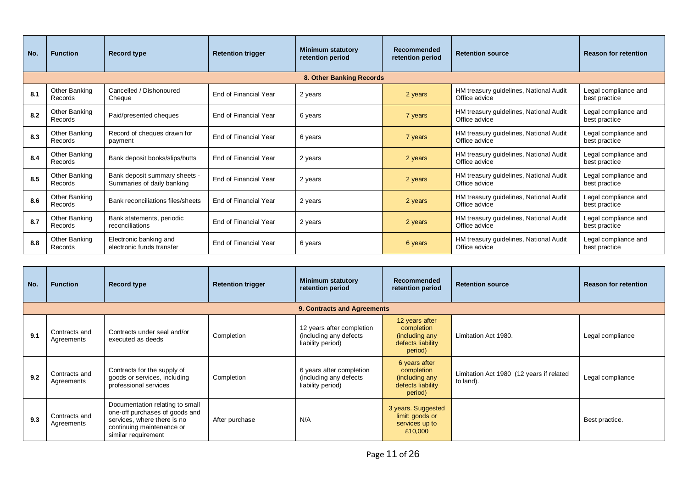| No. | <b>Function</b>          | Record type                                                 | <b>Retention trigger</b> | <b>Minimum statutory</b><br>retention period | Recommended<br>retention period | <b>Retention source</b>                                 | <b>Reason for retention</b>           |
|-----|--------------------------|-------------------------------------------------------------|--------------------------|----------------------------------------------|---------------------------------|---------------------------------------------------------|---------------------------------------|
|     |                          |                                                             |                          |                                              |                                 |                                                         |                                       |
| 8.1 | Other Banking<br>Records | Cancelled / Dishonoured<br>Cheque                           | End of Financial Year    | 2 years                                      | 2 years                         | HM treasury guidelines, National Audit<br>Office advice | Legal compliance and<br>best practice |
| 8.2 | Other Banking<br>Records | Paid/presented cheques                                      | End of Financial Year    | 6 years                                      | 7 years                         | HM treasury guidelines, National Audit<br>Office advice | Legal compliance and<br>best practice |
| 8.3 | Other Banking<br>Records | Record of cheques drawn for<br>payment                      | End of Financial Year    | 6 years                                      | 7 years                         | HM treasury guidelines, National Audit<br>Office advice | Legal compliance and<br>best practice |
| 8.4 | Other Banking<br>Records | Bank deposit books/slips/butts                              | End of Financial Year    | 2 years                                      | 2 years                         | HM treasury guidelines, National Audit<br>Office advice | Legal compliance and<br>best practice |
| 8.5 | Other Banking<br>Records | Bank deposit summary sheets -<br>Summaries of daily banking | End of Financial Year    | 2 years                                      | 2 years                         | HM treasury guidelines, National Audit<br>Office advice | Legal compliance and<br>best practice |
| 8.6 | Other Banking<br>Records | Bank reconciliations files/sheets                           | End of Financial Year    | 2 years                                      | 2 years                         | HM treasury guidelines, National Audit<br>Office advice | Legal compliance and<br>best practice |
| 8.7 | Other Banking<br>Records | Bank statements, periodic<br>reconciliations                | End of Financial Year    | 2 years                                      | 2 years                         | HM treasury guidelines, National Audit<br>Office advice | Legal compliance and<br>best practice |
| 8.8 | Other Banking<br>Records | Electronic banking and<br>electronic funds transfer         | End of Financial Year    | 6 years                                      | 6 years                         | HM treasury guidelines, National Audit<br>Office advice | Legal compliance and<br>best practice |

| No. | <b>Function</b>             | <b>Record type</b>                                                                                                                                   | <b>Retention trigger</b> | <b>Minimum statutory</b><br>retention period                             | <b>Recommended</b><br>retention period                                         | <b>Retention source</b>                               | <b>Reason for retention</b> |
|-----|-----------------------------|------------------------------------------------------------------------------------------------------------------------------------------------------|--------------------------|--------------------------------------------------------------------------|--------------------------------------------------------------------------------|-------------------------------------------------------|-----------------------------|
|     |                             |                                                                                                                                                      |                          | 9. Contracts and Agreements                                              |                                                                                |                                                       |                             |
| 9.1 | Contracts and<br>Agreements | Contracts under seal and/or<br>executed as deeds                                                                                                     | Completion               | 12 years after completion<br>(including any defects<br>liability period) | 12 years after<br>completion<br>(including any<br>defects liability<br>period) | Limitation Act 1980.                                  | Legal compliance            |
| 9.2 | Contracts and<br>Agreements | Contracts for the supply of<br>goods or services, including<br>professional services                                                                 | Completion               | 6 years after completion<br>(including any defects<br>liability period)  | 6 years after<br>completion<br>(including any<br>defects liability<br>period)  | Limitation Act 1980 (12 years if related<br>to land). | Legal compliance            |
| 9.3 | Contracts and<br>Agreements | Documentation relating to small<br>one-off purchases of goods and<br>services, where there is no<br>continuing maintenance or<br>similar requirement | After purchase           | N/A                                                                      | 3 years. Suggested<br>limit: goods or<br>services up to<br>£10,000             |                                                       | Best practice.              |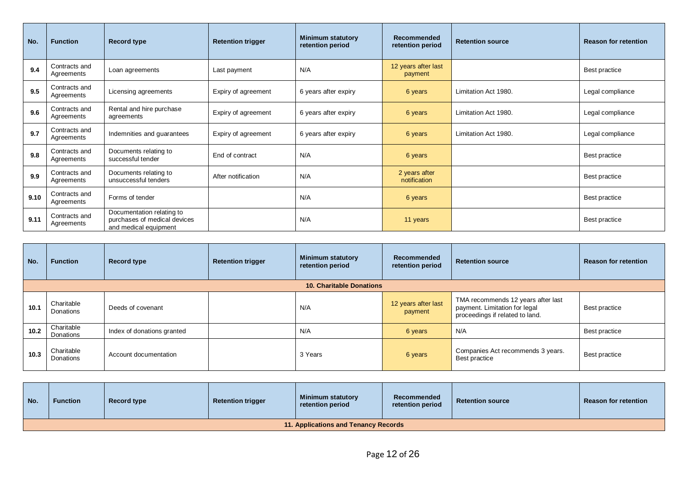| No.  | <b>Function</b>             | <b>Record type</b>                                                                 | <b>Retention trigger</b> | <b>Minimum statutory</b><br>retention period | <b>Recommended</b><br>retention period | <b>Retention source</b> | <b>Reason for retention</b> |
|------|-----------------------------|------------------------------------------------------------------------------------|--------------------------|----------------------------------------------|----------------------------------------|-------------------------|-----------------------------|
| 9.4  | Contracts and<br>Agreements | Loan agreements                                                                    | Last payment             | N/A                                          | 12 years after last<br>payment         |                         | Best practice               |
| 9.5  | Contracts and<br>Agreements | Licensing agreements                                                               | Expiry of agreement      | 6 years after expiry                         | 6 years                                | Limitation Act 1980.    | Legal compliance            |
| 9.6  | Contracts and<br>Agreements | Rental and hire purchase<br>agreements                                             | Expiry of agreement      | 6 years after expiry                         | 6 years                                | Limitation Act 1980.    | Legal compliance            |
| 9.7  | Contracts and<br>Agreements | Indemnities and guarantees                                                         | Expiry of agreement      | 6 years after expiry                         | 6 years                                | Limitation Act 1980.    | Legal compliance            |
| 9.8  | Contracts and<br>Agreements | Documents relating to<br>successful tender                                         | End of contract          | N/A                                          | 6 years                                |                         | Best practice               |
| 9.9  | Contracts and<br>Agreements | Documents relating to<br>unsuccessful tenders                                      | After notification       | N/A                                          | 2 years after<br>notification          |                         | Best practice               |
| 9.10 | Contracts and<br>Agreements | Forms of tender                                                                    |                          | N/A                                          | 6 years                                |                         | Best practice               |
| 9.11 | Contracts and<br>Agreements | Documentation relating to<br>purchases of medical devices<br>and medical equipment |                          | N/A                                          | 11 years                               |                         | Best practice               |

| No.  | <b>Function</b>         | <b>Record type</b>         | <b>Retention trigger</b> | <b>Minimum statutory</b><br>retention period | <b>Recommended</b><br>retention period | <b>Retention source</b>                                                                                | <b>Reason for retention</b> |
|------|-------------------------|----------------------------|--------------------------|----------------------------------------------|----------------------------------------|--------------------------------------------------------------------------------------------------------|-----------------------------|
|      |                         |                            |                          | <b>10. Charitable Donations</b>              |                                        |                                                                                                        |                             |
| 10.1 | Charitable<br>Donations | Deeds of covenant          |                          | N/A                                          | 12 years after last<br>payment         | TMA recommends 12 years after last<br>payment. Limitation for legal<br>proceedings if related to land. | Best practice               |
| 10.2 | Charitable<br>Donations | Index of donations granted |                          | N/A                                          | 6 years                                | N/A                                                                                                    | Best practice               |
| 10.3 | Charitable<br>Donations | Account documentation      |                          | 3 Years                                      | 6 years                                | Companies Act recommends 3 years.<br>Best practice                                                     | Best practice               |

| No. | Function                             | Record type | <b>Retention trigger</b> | <b>Minimum statutory</b><br>retention period | Recommended<br>retention period | <b>Retention source</b> | <b>Reason for retention</b> |  |  |  |  |
|-----|--------------------------------------|-------------|--------------------------|----------------------------------------------|---------------------------------|-------------------------|-----------------------------|--|--|--|--|
|     | 11. Applications and Tenancy Records |             |                          |                                              |                                 |                         |                             |  |  |  |  |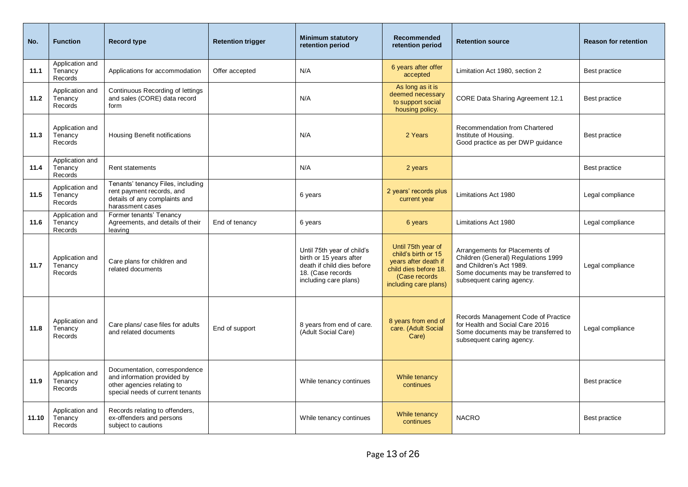| No.   | <b>Function</b>                       | <b>Record type</b>                                                                                                             | <b>Retention trigger</b> | <b>Minimum statutory</b><br>retention period                                                                                      | Recommended<br>retention period                                                                                                      | <b>Retention source</b>                                                                                                                                                | <b>Reason for retention</b> |
|-------|---------------------------------------|--------------------------------------------------------------------------------------------------------------------------------|--------------------------|-----------------------------------------------------------------------------------------------------------------------------------|--------------------------------------------------------------------------------------------------------------------------------------|------------------------------------------------------------------------------------------------------------------------------------------------------------------------|-----------------------------|
| 11.1  | Application and<br>Tenancy<br>Records | Applications for accommodation                                                                                                 | Offer accepted           | N/A                                                                                                                               | 6 years after offer<br>accepted                                                                                                      | Limitation Act 1980, section 2                                                                                                                                         | Best practice               |
| 11.2  | Application and<br>Tenancy<br>Records | Continuous Recording of lettings<br>and sales (CORE) data record<br>form                                                       |                          | N/A                                                                                                                               | As long as it is<br>deemed necessary<br>to support social<br>housing policy.                                                         | CORE Data Sharing Agreement 12.1                                                                                                                                       | Best practice               |
| 11.3  | Application and<br>Tenancy<br>Records | <b>Housing Benefit notifications</b>                                                                                           |                          | N/A                                                                                                                               | 2 Years                                                                                                                              | Recommendation from Chartered<br>Institute of Housing.<br>Good practice as per DWP quidance                                                                            | Best practice               |
| 11.4  | Application and<br>Tenancy<br>Records | Rent statements                                                                                                                |                          | N/A                                                                                                                               | 2 years                                                                                                                              |                                                                                                                                                                        | Best practice               |
| 11.5  | Application and<br>Tenancy<br>Records | Tenants' tenancy Files, including<br>rent payment records, and<br>details of any complaints and<br>harassment cases            |                          | 6 years                                                                                                                           | 2 years' records plus<br>current year                                                                                                | Limitations Act 1980                                                                                                                                                   | Legal compliance            |
| 11.6  | Application and<br>Tenancy<br>Records | Former tenants' Tenancy<br>Agreements, and details of their<br>leaving                                                         | End of tenancy           | 6 years                                                                                                                           | 6 years                                                                                                                              | Limitations Act 1980                                                                                                                                                   | Legal compliance            |
| 11.7  | Application and<br>Tenancy<br>Records | Care plans for children and<br>related documents                                                                               |                          | Until 75th year of child's<br>birth or 15 years after<br>death if child dies before<br>18. (Case records<br>including care plans) | Until 75th year of<br>child's birth or 15<br>years after death if<br>child dies before 18.<br>(Case records<br>including care plans) | Arrangements for Placements of<br>Children (General) Regulations 1999<br>and Children's Act 1989.<br>Some documents may be transferred to<br>subsequent caring agency. | Legal compliance            |
| 11.8  | Application and<br>Tenancy<br>Records | Care plans/case files for adults<br>and related documents                                                                      | End of support           | 8 years from end of care.<br>(Adult Social Care)                                                                                  | 8 years from end of<br>care. (Adult Social<br>Care)                                                                                  | Records Management Code of Practice<br>for Health and Social Care 2016<br>Some documents may be transferred to<br>subsequent caring agency.                            | Legal compliance            |
| 11.9  | Application and<br>Tenancy<br>Records | Documentation, correspondence<br>and information provided by<br>other agencies relating to<br>special needs of current tenants |                          | While tenancy continues                                                                                                           | While tenancy<br>continues                                                                                                           |                                                                                                                                                                        | Best practice               |
| 11.10 | Application and<br>Tenancy<br>Records | Records relating to offenders,<br>ex-offenders and persons<br>subject to cautions                                              |                          | While tenancy continues                                                                                                           | While tenancy<br>continues                                                                                                           | <b>NACRO</b>                                                                                                                                                           | Best practice               |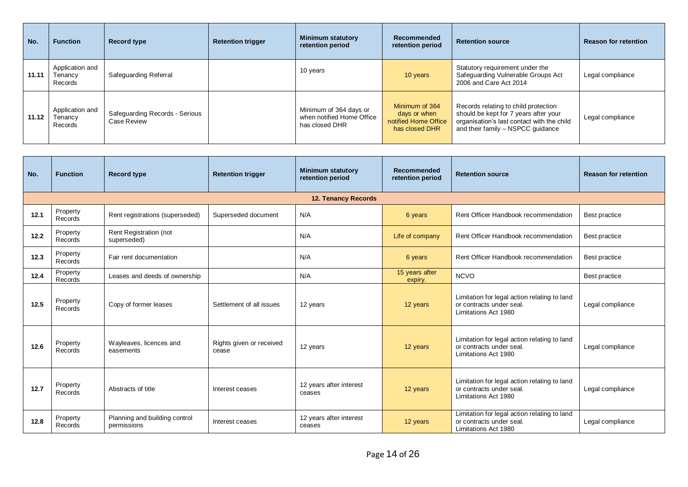| No.   | <b>Function</b>                       | <b>Record type</b>                            | <b>Retention trigger</b> | <b>Minimum statutory</b><br>retention period                          | <b>Recommended</b><br>retention period                                   | <b>Retention source</b>                                                                                                                                          | <b>Reason for retention</b> |
|-------|---------------------------------------|-----------------------------------------------|--------------------------|-----------------------------------------------------------------------|--------------------------------------------------------------------------|------------------------------------------------------------------------------------------------------------------------------------------------------------------|-----------------------------|
| 11.11 | Application and<br>Tenancy<br>Records | Safeguarding Referral                         |                          | 10 years                                                              | 10 years                                                                 | Statutory requirement under the<br>Safeguarding Vulnerable Groups Act<br>2006 and Care Act 2014                                                                  | Legal compliance            |
| 11.12 | Application and<br>Tenancy<br>Records | Safeguarding Records - Serious<br>Case Review |                          | Minimum of 364 days or<br>when notified Home Office<br>has closed DHR | Minimum of 364<br>days or when<br>notified Home Office<br>has closed DHR | Records relating to child protection<br>should be kept for 7 years after your<br>organisation's last contact with the child<br>and their family - NSPCC guidance | Legal compliance            |

| No.  | <b>Function</b>            | <b>Record type</b>                           | <b>Retention trigger</b>          | <b>Minimum statutory</b><br>retention period | Recommended<br>retention period | <b>Retention source</b>                                                                          | <b>Reason for retention</b> |  |  |  |
|------|----------------------------|----------------------------------------------|-----------------------------------|----------------------------------------------|---------------------------------|--------------------------------------------------------------------------------------------------|-----------------------------|--|--|--|
|      | <b>12. Tenancy Records</b> |                                              |                                   |                                              |                                 |                                                                                                  |                             |  |  |  |
| 12.1 | Property<br>Records        | Rent registrations (superseded)              | Superseded document               | N/A                                          | 6 years                         | Rent Officer Handbook recommendation                                                             | Best practice               |  |  |  |
| 12.2 | Property<br>Records        | Rent Registration (not<br>superseded)        |                                   | N/A                                          | Life of company                 | Rent Officer Handbook recommendation                                                             | <b>Best practice</b>        |  |  |  |
| 12.3 | Property<br>Records        | Fair rent documentation                      |                                   | N/A                                          | 6 years                         | Rent Officer Handbook recommendation                                                             | Best practice               |  |  |  |
| 12.4 | Property<br>Records        | Leases and deeds of ownership                |                                   | N/A                                          | 15 years after<br>expiry.       | <b>NCVO</b>                                                                                      | Best practice               |  |  |  |
| 12.5 | Property<br>Records        | Copy of former leases                        | Settlement of all issues          | 12 years                                     | 12 years                        | Limitation for legal action relating to land<br>or contracts under seal.<br>Limitations Act 1980 | Legal compliance            |  |  |  |
| 12.6 | Property<br>Records        | Wayleaves, licences and<br>easements         | Rights given or received<br>cease | 12 years                                     | 12 years                        | Limitation for legal action relating to land<br>or contracts under seal.<br>Limitations Act 1980 | Legal compliance            |  |  |  |
| 12.7 | Property<br>Records        | Abstracts of title                           | Interest ceases                   | 12 years after interest<br>ceases            | 12 years                        | Limitation for legal action relating to land<br>or contracts under seal.<br>Limitations Act 1980 | Legal compliance            |  |  |  |
| 12.8 | Property<br>Records        | Planning and building control<br>permissions | Interest ceases                   | 12 years after interest<br>ceases            | 12 years                        | Limitation for legal action relating to land<br>or contracts under seal.<br>Limitations Act 1980 | Legal compliance            |  |  |  |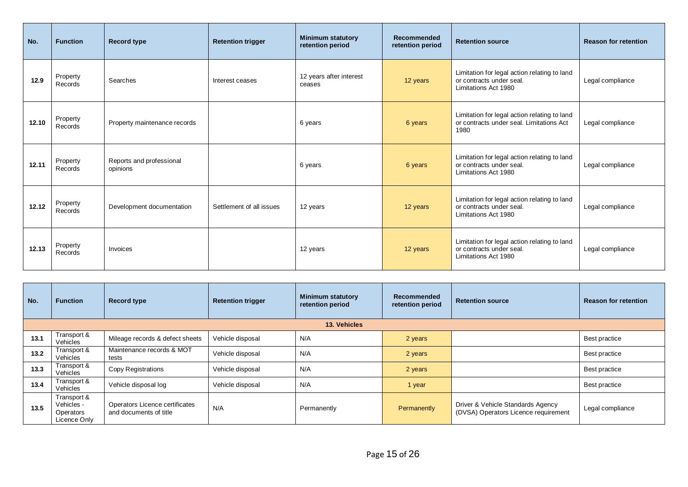| No.   | <b>Function</b>     | <b>Record type</b>                   | <b>Retention trigger</b> | <b>Minimum statutory</b><br>retention period | Recommended<br>retention period | <b>Retention source</b>                                                                          | <b>Reason for retention</b> |
|-------|---------------------|--------------------------------------|--------------------------|----------------------------------------------|---------------------------------|--------------------------------------------------------------------------------------------------|-----------------------------|
| 12.9  | Property<br>Records | Searches                             | Interest ceases          | 12 years after interest<br>ceases            | 12 years                        | Limitation for legal action relating to land<br>or contracts under seal.<br>Limitations Act 1980 | Legal compliance            |
| 12.10 | Property<br>Records | Property maintenance records         |                          | 6 years                                      | 6 years                         | Limitation for legal action relating to land<br>or contracts under seal. Limitations Act<br>1980 | Legal compliance            |
| 12.11 | Property<br>Records | Reports and professional<br>opinions |                          | 6 years                                      | 6 years                         | Limitation for legal action relating to land<br>or contracts under seal.<br>Limitations Act 1980 | Legal compliance            |
| 12.12 | Property<br>Records | Development documentation            | Settlement of all issues | 12 years                                     | 12 years                        | Limitation for legal action relating to land<br>or contracts under seal.<br>Limitations Act 1980 | Legal compliance            |
| 12.13 | Property<br>Records | Invoices                             |                          | 12 years                                     | 12 years                        | Limitation for legal action relating to land<br>or contracts under seal.<br>Limitations Act 1980 | Legal compliance            |

| No.  | <b>Function</b>                                        | <b>Record type</b>                                       | <b>Retention trigger</b> | <b>Minimum statutory</b><br>retention period | <b>Recommended</b><br>retention period | <b>Retention source</b>                                                   | <b>Reason for retention</b> |  |  |
|------|--------------------------------------------------------|----------------------------------------------------------|--------------------------|----------------------------------------------|----------------------------------------|---------------------------------------------------------------------------|-----------------------------|--|--|
|      | 13. Vehicles                                           |                                                          |                          |                                              |                                        |                                                                           |                             |  |  |
| 13.1 | Transport &<br>Vehicles                                | Mileage records & defect sheets                          | Vehicle disposal         | N/A                                          | 2 years                                |                                                                           | Best practice               |  |  |
| 13.2 | Transport &<br>Vehicles                                | Maintenance records & MOT<br>tests                       | Vehicle disposal         | N/A                                          | 2 years                                |                                                                           | Best practice               |  |  |
| 13.3 | Transport &<br>Vehicles                                | <b>Copy Registrations</b>                                | Vehicle disposal         | N/A                                          | 2 years                                |                                                                           | Best practice               |  |  |
| 13.4 | Transport &<br>Vehicles                                | Vehicle disposal log                                     | Vehicle disposal         | N/A                                          | 1 year                                 |                                                                           | Best practice               |  |  |
| 13.5 | Transport &<br>Vehicles -<br>Operators<br>Licence Only | Operators Licence certificates<br>and documents of title | N/A                      | Permanently                                  | Permanently                            | Driver & Vehicle Standards Agency<br>(DVSA) Operators Licence requirement | Legal compliance            |  |  |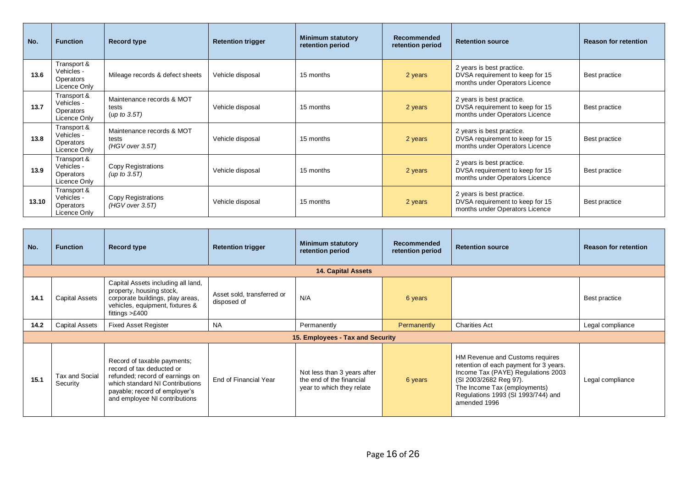| No.   | <b>Function</b>                                        | <b>Record type</b>                                    | <b>Retention trigger</b> | <b>Minimum statutory</b><br>retention period | <b>Recommended</b><br>retention period | <b>Retention source</b>                                                                        | <b>Reason for retention</b> |
|-------|--------------------------------------------------------|-------------------------------------------------------|--------------------------|----------------------------------------------|----------------------------------------|------------------------------------------------------------------------------------------------|-----------------------------|
| 13.6  | Transport &<br>Vehicles -<br>Operators<br>Licence Only | Mileage records & defect sheets                       | Vehicle disposal         | 15 months                                    | 2 years                                | 2 years is best practice.<br>DVSA requirement to keep for 15<br>months under Operators Licence | Best practice               |
| 13.7  | Transport &<br>Vehicles -<br>Operators<br>Licence Only | Maintenance records & MOT<br>tests<br>(up to 3.5T)    | Vehicle disposal         | 15 months                                    | 2 years                                | 2 years is best practice.<br>DVSA requirement to keep for 15<br>months under Operators Licence | Best practice               |
| 13.8  | Transport &<br>Vehicles -<br>Operators<br>Licence Only | Maintenance records & MOT<br>tests<br>(HGV over 3.5T) | Vehicle disposal         | 15 months                                    | 2 years                                | 2 years is best practice.<br>DVSA requirement to keep for 15<br>months under Operators Licence | Best practice               |
| 13.9  | Transport &<br>Vehicles -<br>Operators<br>Licence Only | Copy Registrations<br>(up to $3.5T$ )                 | Vehicle disposal         | 15 months                                    | 2 years                                | 2 years is best practice.<br>DVSA requirement to keep for 15<br>months under Operators Licence | Best practice               |
| 13.10 | Transport &<br>Vehicles -<br>Operators<br>Licence Only | Copy Registrations<br>$(HGV$ over 3.5T)               | Vehicle disposal         | 15 months                                    | 2 years                                | 2 years is best practice.<br>DVSA requirement to keep for 15<br>months under Operators Licence | Best practice               |

| No.  | <b>Function</b>            | <b>Record type</b>                                                                                                                                                                               | <b>Retention trigger</b>                  | <b>Minimum statutory</b><br>retention period                                         | <b>Recommended</b><br>retention period | <b>Retention source</b>                                                                                                                                                                                                         | <b>Reason for retention</b> |  |  |  |
|------|----------------------------|--------------------------------------------------------------------------------------------------------------------------------------------------------------------------------------------------|-------------------------------------------|--------------------------------------------------------------------------------------|----------------------------------------|---------------------------------------------------------------------------------------------------------------------------------------------------------------------------------------------------------------------------------|-----------------------------|--|--|--|
|      | <b>14. Capital Assets</b>  |                                                                                                                                                                                                  |                                           |                                                                                      |                                        |                                                                                                                                                                                                                                 |                             |  |  |  |
| 14.1 | Capital Assets             | Capital Assets including all land,<br>property, housing stock,<br>corporate buildings, play areas,<br>vehicles, equipment, fixtures &<br>fittings $>£400$                                        | Asset sold, transferred or<br>disposed of | N/A                                                                                  | 6 years                                |                                                                                                                                                                                                                                 | Best practice               |  |  |  |
| 14.2 | Capital Assets             | <b>Fixed Asset Register</b>                                                                                                                                                                      | <b>NA</b>                                 | Permanently                                                                          | Permanently                            | <b>Charities Act</b>                                                                                                                                                                                                            | Legal compliance            |  |  |  |
|      |                            |                                                                                                                                                                                                  |                                           | 15. Employees - Tax and Security                                                     |                                        |                                                                                                                                                                                                                                 |                             |  |  |  |
| 15.1 | Tax and Social<br>Security | Record of taxable payments;<br>record of tax deducted or<br>refunded; record of earnings on<br>which standard NI Contributions<br>payable; record of employer's<br>and employee NI contributions | End of Financial Year                     | Not less than 3 years after<br>the end of the financial<br>year to which they relate | 6 years                                | HM Revenue and Customs requires<br>retention of each payment for 3 years.<br>Income Tax (PAYE) Regulations 2003<br>(SI 2003/2682 Reg 97).<br>The Income Tax (employments)<br>Regulations 1993 (SI 1993/744) and<br>amended 1996 | Legal compliance            |  |  |  |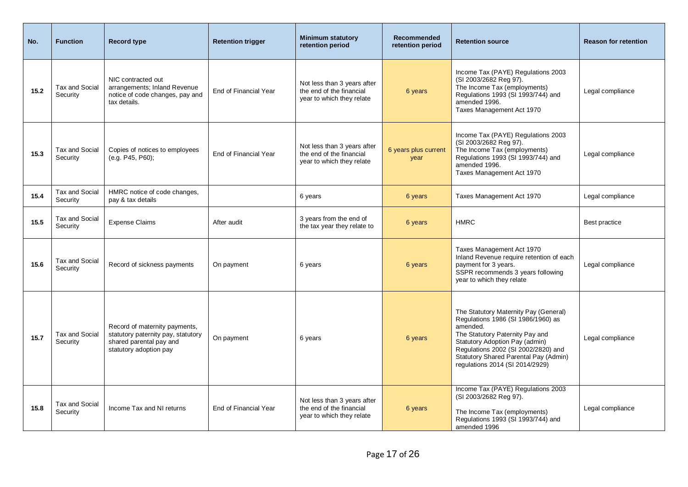| No.  | <b>Function</b>            | <b>Record type</b>                                                                                                       | <b>Retention trigger</b> | <b>Minimum statutory</b><br>retention period                                         | <b>Recommended</b><br>retention period | <b>Retention source</b>                                                                                                                                                                                                                                                         | <b>Reason for retention</b> |
|------|----------------------------|--------------------------------------------------------------------------------------------------------------------------|--------------------------|--------------------------------------------------------------------------------------|----------------------------------------|---------------------------------------------------------------------------------------------------------------------------------------------------------------------------------------------------------------------------------------------------------------------------------|-----------------------------|
| 15.2 | Tax and Social<br>Security | NIC contracted out<br>arrangements; Inland Revenue<br>notice of code changes, pay and<br>tax details.                    | End of Financial Year    | Not less than 3 years after<br>the end of the financial<br>year to which they relate | 6 years                                | Income Tax (PAYE) Regulations 2003<br>(SI 2003/2682 Reg 97).<br>The Income Tax (employments)<br>Regulations 1993 (SI 1993/744) and<br>amended 1996.<br>Taxes Management Act 1970                                                                                                | Legal compliance            |
| 15.3 | Tax and Social<br>Security | Copies of notices to employees<br>(e.g. P45, P60);                                                                       | End of Financial Year    | Not less than 3 years after<br>the end of the financial<br>year to which they relate | 6 years plus current<br>year           | Income Tax (PAYE) Regulations 2003<br>(SI 2003/2682 Reg 97).<br>The Income Tax (employments)<br>Regulations 1993 (SI 1993/744) and<br>amended 1996.<br>Taxes Management Act 1970                                                                                                | Legal compliance            |
| 15.4 | Tax and Social<br>Security | HMRC notice of code changes,<br>pay & tax details                                                                        |                          | 6 years                                                                              | 6 years                                | Taxes Management Act 1970                                                                                                                                                                                                                                                       | Legal compliance            |
| 15.5 | Tax and Social<br>Security | <b>Expense Claims</b>                                                                                                    | After audit              | 3 years from the end of<br>the tax year they relate to                               | 6 years                                | <b>HMRC</b>                                                                                                                                                                                                                                                                     | Best practice               |
| 15.6 | Tax and Social<br>Security | Record of sickness payments                                                                                              | On payment               | 6 years                                                                              | 6 years                                | Taxes Management Act 1970<br>Inland Revenue require retention of each<br>payment for 3 years.<br>SSPR recommends 3 years following<br>year to which they relate                                                                                                                 | Legal compliance            |
| 15.7 | Tax and Social<br>Security | Record of maternity payments,<br>statutory paternity pay, statutory<br>shared parental pay and<br>statutory adoption pay | On payment               | 6 years                                                                              | 6 years                                | The Statutory Maternity Pay (General)<br>Regulations 1986 (SI 1986/1960) as<br>amended.<br>The Statutory Paternity Pay and<br>Statutory Adoption Pay (admin)<br>Regulations 2002 (SI 2002/2820) and<br>Statutory Shared Parental Pay (Admin)<br>regulations 2014 (SI 2014/2929) | Legal compliance            |
| 15.8 | Tax and Social<br>Security | Income Tax and NI returns                                                                                                | End of Financial Year    | Not less than 3 years after<br>the end of the financial<br>year to which they relate | 6 years                                | Income Tax (PAYE) Regulations 2003<br>(SI 2003/2682 Reg 97).<br>The Income Tax (employments)<br>Regulations 1993 (SI 1993/744) and<br>amended 1996                                                                                                                              | Legal compliance            |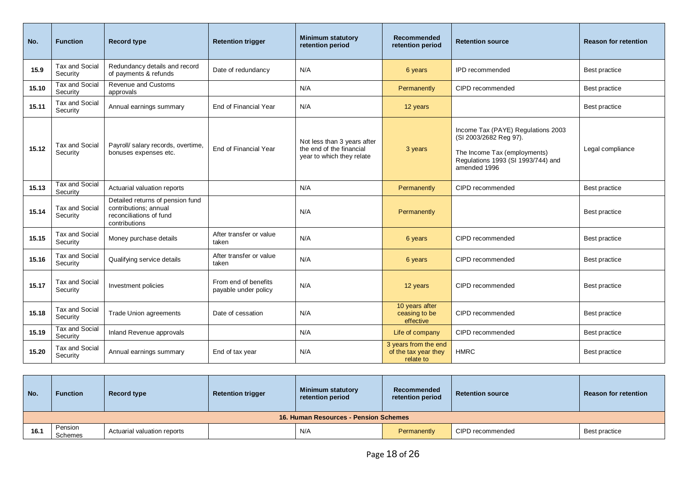| No.   | <b>Function</b>                   | <b>Record type</b>                                                                                    | <b>Retention trigger</b>                     | <b>Minimum statutory</b><br>retention period                                         | <b>Recommended</b><br>retention period                    | <b>Retention source</b>                                                                                                                            | <b>Reason for retention</b> |
|-------|-----------------------------------|-------------------------------------------------------------------------------------------------------|----------------------------------------------|--------------------------------------------------------------------------------------|-----------------------------------------------------------|----------------------------------------------------------------------------------------------------------------------------------------------------|-----------------------------|
| 15.9  | Tax and Social<br>Security        | Redundancy details and record<br>of payments & refunds                                                | Date of redundancy                           | N/A                                                                                  | 6 years                                                   | <b>IPD</b> recommended                                                                                                                             | Best practice               |
| 15.10 | Tax and Social<br>Security        | Revenue and Customs<br>approvals                                                                      |                                              | N/A                                                                                  | Permanently                                               | CIPD recommended                                                                                                                                   | Best practice               |
| 15.11 | Tax and Social<br>Security        | Annual earnings summary                                                                               | End of Financial Year                        | N/A                                                                                  | 12 years                                                  |                                                                                                                                                    | Best practice               |
| 15.12 | Tax and Social<br>Security        | Payroll/ salary records, overtime,<br>bonuses expenses etc.                                           | End of Financial Year                        | Not less than 3 years after<br>the end of the financial<br>year to which they relate | 3 years                                                   | Income Tax (PAYE) Regulations 2003<br>(SI 2003/2682 Reg 97).<br>The Income Tax (employments)<br>Regulations 1993 (SI 1993/744) and<br>amended 1996 | Legal compliance            |
| 15.13 | <b>Tax and Social</b><br>Security | Actuarial valuation reports                                                                           |                                              | N/A                                                                                  | Permanently                                               | CIPD recommended                                                                                                                                   | Best practice               |
| 15.14 | Tax and Social<br>Security        | Detailed returns of pension fund<br>contributions; annual<br>reconciliations of fund<br>contributions |                                              | N/A                                                                                  | Permanently                                               |                                                                                                                                                    | Best practice               |
| 15.15 | Tax and Social<br>Security        | Money purchase details                                                                                | After transfer or value<br>taken             | N/A                                                                                  | 6 years                                                   | CIPD recommended                                                                                                                                   | Best practice               |
| 15.16 | Tax and Social<br>Security        | Qualifying service details                                                                            | After transfer or value<br>taken             | N/A                                                                                  | 6 years                                                   | CIPD recommended                                                                                                                                   | Best practice               |
| 15.17 | Tax and Social<br>Security        | Investment policies                                                                                   | From end of benefits<br>payable under policy | N/A                                                                                  | 12 years                                                  | CIPD recommended                                                                                                                                   | Best practice               |
| 15.18 | Tax and Social<br>Security        | Trade Union agreements                                                                                | Date of cessation                            | N/A                                                                                  | 10 years after<br>ceasing to be<br>effective              | CIPD recommended                                                                                                                                   | Best practice               |
| 15.19 | Tax and Social<br>Security        | Inland Revenue approvals                                                                              |                                              | N/A                                                                                  | Life of company                                           | CIPD recommended                                                                                                                                   | Best practice               |
| 15.20 | Tax and Social<br>Security        | Annual earnings summary                                                                               | End of tax year                              | N/A                                                                                  | 3 years from the end<br>of the tax year they<br>relate to | <b>HMRC</b>                                                                                                                                        | Best practice               |

| No.                                   | <b>Function</b>    | Record type                 | <b>Retention trigger</b> | Minimum statutory<br>retention period | Recommended<br>retention period | <b>Retention source</b> | <b>Reason for retention</b> |  |
|---------------------------------------|--------------------|-----------------------------|--------------------------|---------------------------------------|---------------------------------|-------------------------|-----------------------------|--|
| 16. Human Resources - Pension Schemes |                    |                             |                          |                                       |                                 |                         |                             |  |
| 16.1                                  | Pension<br>Schemes | Actuarial valuation reports |                          | N/A                                   | Permanently                     | CIPD recommended        | Best practice               |  |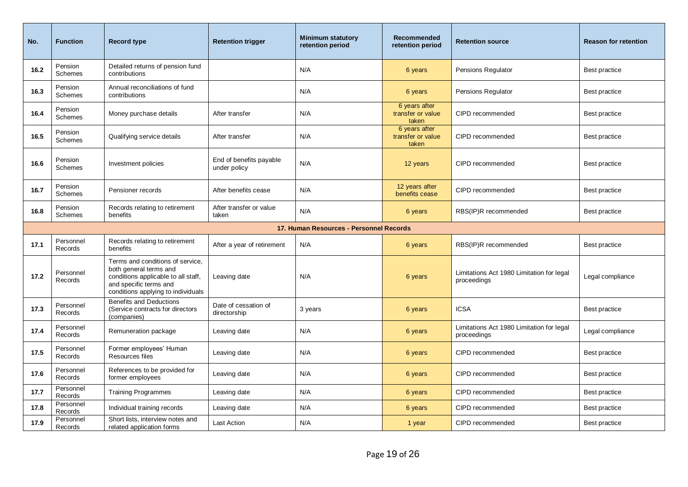| No.  | <b>Function</b>           | <b>Record type</b>                                                                                                                                                | <b>Retention trigger</b>                | <b>Minimum statutory</b><br>retention period | Recommended<br>retention period             | <b>Retention source</b>                                  | <b>Reason for retention</b> |
|------|---------------------------|-------------------------------------------------------------------------------------------------------------------------------------------------------------------|-----------------------------------------|----------------------------------------------|---------------------------------------------|----------------------------------------------------------|-----------------------------|
| 16.2 | Pension<br>Schemes        | Detailed returns of pension fund<br>contributions                                                                                                                 |                                         | N/A                                          | 6 years                                     | Pensions Regulator                                       | Best practice               |
| 16.3 | Pension<br>Schemes        | Annual reconciliations of fund<br>contributions                                                                                                                   |                                         | N/A                                          | 6 years                                     | <b>Pensions Regulator</b>                                | Best practice               |
| 16.4 | Pension<br><b>Schemes</b> | Money purchase details                                                                                                                                            | After transfer                          | N/A                                          | 6 years after<br>transfer or value<br>taken | CIPD recommended                                         | Best practice               |
| 16.5 | Pension<br><b>Schemes</b> | Qualifying service details                                                                                                                                        | After transfer                          | N/A                                          | 6 years after<br>transfer or value<br>taken | CIPD recommended                                         | Best practice               |
| 16.6 | Pension<br>Schemes        | Investment policies                                                                                                                                               | End of benefits payable<br>under policy | N/A                                          | 12 years                                    | CIPD recommended                                         | Best practice               |
| 16.7 | Pension<br>Schemes        | Pensioner records                                                                                                                                                 | After benefits cease                    | N/A                                          | 12 years after<br>benefits cease            | CIPD recommended                                         | Best practice               |
| 16.8 | Pension<br>Schemes        | Records relating to retirement<br>benefits                                                                                                                        | After transfer or value<br>taken        | N/A                                          | 6 years                                     | RBS(IP)R recommended                                     | Best practice               |
|      |                           |                                                                                                                                                                   |                                         | 17. Human Resources - Personnel Records      |                                             |                                                          |                             |
| 17.1 | Personnel<br>Records      | Records relating to retirement<br>benefits                                                                                                                        | After a year of retirement              | N/A                                          | 6 years                                     | RBS(IP)R recommended                                     | Best practice               |
| 17.2 | Personnel<br>Records      | Terms and conditions of service,<br>both general terms and<br>conditions applicable to all staff,<br>and specific terms and<br>conditions applying to individuals | Leaving date                            | N/A                                          | 6 years                                     | Limitations Act 1980 Limitation for legal<br>proceedings | Legal compliance            |
| 17.3 | Personnel<br>Records      | <b>Benefits and Deductions</b><br>(Service contracts for directors<br>(companies)                                                                                 | Date of cessation of<br>directorship    | 3 years                                      | 6 years                                     | <b>ICSA</b>                                              | Best practice               |
| 17.4 | Personnel<br>Records      | Remuneration package                                                                                                                                              | Leaving date                            | N/A                                          | 6 years                                     | Limitations Act 1980 Limitation for legal<br>proceedings | Legal compliance            |
| 17.5 | Personnel<br>Records      | Former employees' Human<br>Resources files                                                                                                                        | Leaving date                            | N/A                                          | 6 years                                     | CIPD recommended                                         | Best practice               |
| 17.6 | Personnel<br>Records      | References to be provided for<br>former employees                                                                                                                 | Leaving date                            | N/A                                          | 6 years                                     | CIPD recommended                                         | Best practice               |
| 17.7 | Personnel<br>Records      | <b>Training Programmes</b>                                                                                                                                        | Leaving date                            | N/A                                          | 6 years                                     | CIPD recommended                                         | Best practice               |
| 17.8 | Personnel<br>Records      | Individual training records                                                                                                                                       | Leaving date                            | N/A                                          | 6 years                                     | CIPD recommended                                         | Best practice               |
| 17.9 | Personnel<br>Records      | Short lists, interview notes and<br>related application forms                                                                                                     | <b>Last Action</b>                      | N/A                                          | 1 year                                      | CIPD recommended                                         | Best practice               |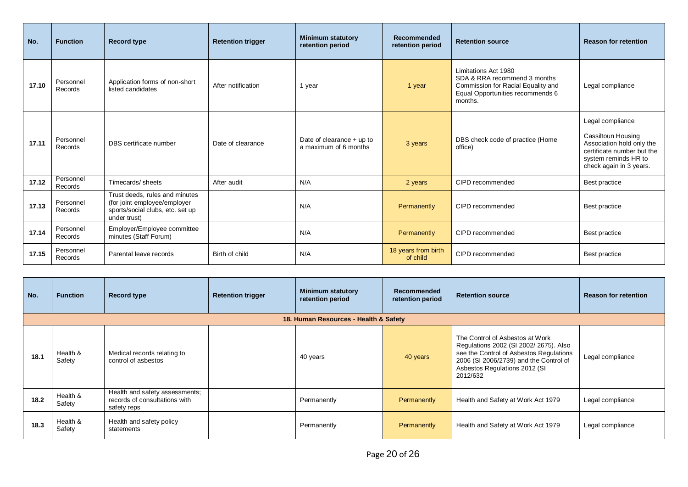| No.   | <b>Function</b>      | <b>Record type</b>                                                                                                 | <b>Retention trigger</b> | <b>Minimum statutory</b><br>retention period         | Recommended<br>retention period | <b>Retention source</b>                                                                                                                   | <b>Reason for retention</b>                                                                                                                          |
|-------|----------------------|--------------------------------------------------------------------------------------------------------------------|--------------------------|------------------------------------------------------|---------------------------------|-------------------------------------------------------------------------------------------------------------------------------------------|------------------------------------------------------------------------------------------------------------------------------------------------------|
| 17.10 | Personnel<br>Records | Application forms of non-short<br>listed candidates                                                                | After notification       | 1 year                                               | 1 year                          | Limitations Act 1980<br>SDA & RRA recommend 3 months<br>Commission for Racial Equality and<br>Equal Opportunities recommends 6<br>months. | Legal compliance                                                                                                                                     |
| 17.11 | Personnel<br>Records | DBS certificate number                                                                                             | Date of clearance        | Date of clearance $+$ up to<br>a maximum of 6 months | 3 years                         | DBS check code of practice (Home<br>office)                                                                                               | Legal compliance<br>Cassiltoun Housing<br>Association hold only the<br>certificate number but the<br>system reminds HR to<br>check again in 3 years. |
| 17.12 | Personnel<br>Records | Timecards/sheets                                                                                                   | After audit              | N/A                                                  | 2 years                         | CIPD recommended                                                                                                                          | Best practice                                                                                                                                        |
| 17.13 | Personnel<br>Records | Trust deeds, rules and minutes<br>(for joint employee/employer<br>sports/social clubs, etc. set up<br>under trust) |                          | N/A                                                  | Permanently                     | CIPD recommended                                                                                                                          | Best practice                                                                                                                                        |
| 17.14 | Personnel<br>Records | Employer/Employee committee<br>minutes (Staff Forum)                                                               |                          | N/A                                                  | Permanently                     | CIPD recommended                                                                                                                          | Best practice                                                                                                                                        |
| 17.15 | Personnel<br>Records | Parental leave records                                                                                             | Birth of child           | N/A                                                  | 18 years from birth<br>of child | CIPD recommended                                                                                                                          | Best practice                                                                                                                                        |

| No.  | <b>Function</b>    | <b>Record type</b>                                                             | <b>Retention trigger</b> | <b>Minimum statutory</b><br>retention period | <b>Recommended</b><br>retention period | <b>Retention source</b>                                                                                                                                                                                    | <b>Reason for retention</b> |
|------|--------------------|--------------------------------------------------------------------------------|--------------------------|----------------------------------------------|----------------------------------------|------------------------------------------------------------------------------------------------------------------------------------------------------------------------------------------------------------|-----------------------------|
|      |                    |                                                                                |                          | 18. Human Resources - Health & Safety        |                                        |                                                                                                                                                                                                            |                             |
| 18.1 | Health &<br>Safety | Medical records relating to<br>control of asbestos                             |                          | 40 years                                     | 40 years                               | The Control of Asbestos at Work<br>Regulations 2002 (SI 2002/2675). Also<br>see the Control of Asbestos Regulations<br>2006 (SI 2006/2739) and the Control of<br>Asbestos Regulations 2012 (SI<br>2012/632 | Legal compliance            |
| 18.2 | Health &<br>Safety | Health and safety assessments;<br>records of consultations with<br>safety reps |                          | Permanently                                  | Permanently                            | Health and Safety at Work Act 1979                                                                                                                                                                         | Legal compliance            |
| 18.3 | Health &<br>Safety | Health and safety policy<br>statements                                         |                          | Permanently                                  | Permanently                            | Health and Safety at Work Act 1979                                                                                                                                                                         | Legal compliance            |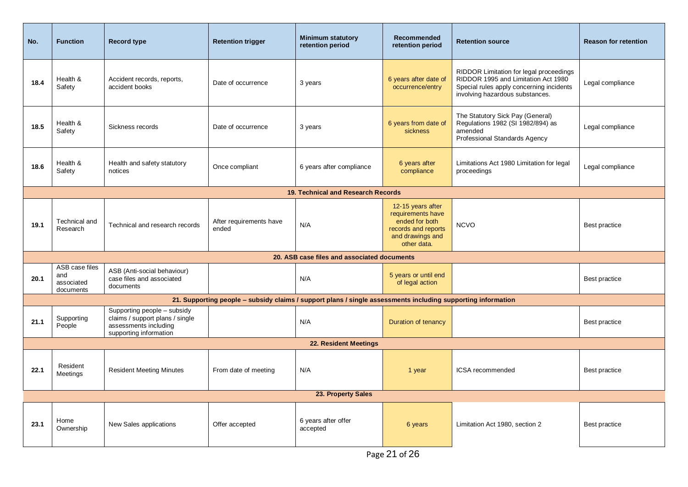| No.  | <b>Function</b>                                  | <b>Record type</b>                                                                                                | <b>Retention trigger</b>                                                                                     | <b>Minimum statutory</b><br>retention period | <b>Recommended</b><br>retention period                                                                             | <b>Retention source</b>                                                                                                                                       | <b>Reason for retention</b> |
|------|--------------------------------------------------|-------------------------------------------------------------------------------------------------------------------|--------------------------------------------------------------------------------------------------------------|----------------------------------------------|--------------------------------------------------------------------------------------------------------------------|---------------------------------------------------------------------------------------------------------------------------------------------------------------|-----------------------------|
| 18.4 | Health &<br>Safety                               | Accident records, reports,<br>accident books                                                                      | Date of occurrence                                                                                           | 3 years                                      | 6 years after date of<br>occurrence/entry                                                                          | RIDDOR Limitation for legal proceedings<br>RIDDOR 1995 and Limitation Act 1980<br>Special rules apply concerning incidents<br>involving hazardous substances. | Legal compliance            |
| 18.5 | Health &<br>Safety                               | Sickness records                                                                                                  | Date of occurrence                                                                                           | 3 years                                      | 6 years from date of<br>sickness                                                                                   | The Statutory Sick Pay (General)<br>Regulations 1982 (SI 1982/894) as<br>amended<br>Professional Standards Agency                                             | Legal compliance            |
| 18.6 | Health &<br>Safety                               | Health and safety statutory<br>notices                                                                            | Once compliant                                                                                               | 6 years after compliance                     | 6 years after<br>compliance                                                                                        | Limitations Act 1980 Limitation for legal<br>proceedings                                                                                                      | Legal compliance            |
|      |                                                  |                                                                                                                   |                                                                                                              | 19. Technical and Research Records           |                                                                                                                    |                                                                                                                                                               |                             |
| 19.1 | Technical and<br>Research                        | Technical and research records                                                                                    | After requirements have<br>ended                                                                             | N/A                                          | 12-15 years after<br>requirements have<br>ended for both<br>records and reports<br>and drawings and<br>other data. | <b>NCVO</b>                                                                                                                                                   | Best practice               |
|      |                                                  |                                                                                                                   |                                                                                                              | 20. ASB case files and associated documents  |                                                                                                                    |                                                                                                                                                               |                             |
| 20.1 | ASB case files<br>and<br>associated<br>documents | ASB (Anti-social behaviour)<br>case files and associated<br>documents                                             |                                                                                                              | N/A                                          | 5 years or until end<br>of legal action                                                                            |                                                                                                                                                               | Best practice               |
|      |                                                  |                                                                                                                   | 21. Supporting people – subsidy claims / support plans / single assessments including supporting information |                                              |                                                                                                                    |                                                                                                                                                               |                             |
| 21.1 | Supporting<br>People                             | Supporting people - subsidy<br>claims / support plans / single<br>assessments including<br>supporting information |                                                                                                              | N/A                                          | Duration of tenancy                                                                                                |                                                                                                                                                               | Best practice               |
|      |                                                  |                                                                                                                   |                                                                                                              | <b>22. Resident Meetings</b>                 |                                                                                                                    |                                                                                                                                                               |                             |
| 22.1 | Resident<br>Meetings                             | <b>Resident Meeting Minutes</b>                                                                                   | From date of meeting                                                                                         | N/A                                          | 1 year                                                                                                             | ICSA recommended                                                                                                                                              | Best practice               |
|      |                                                  |                                                                                                                   |                                                                                                              | 23. Property Sales                           |                                                                                                                    |                                                                                                                                                               |                             |
| 23.1 | Home<br>Ownership                                | New Sales applications                                                                                            | Offer accepted                                                                                               | 6 years after offer<br>accepted              | 6 years                                                                                                            | Limitation Act 1980, section 2                                                                                                                                | Best practice               |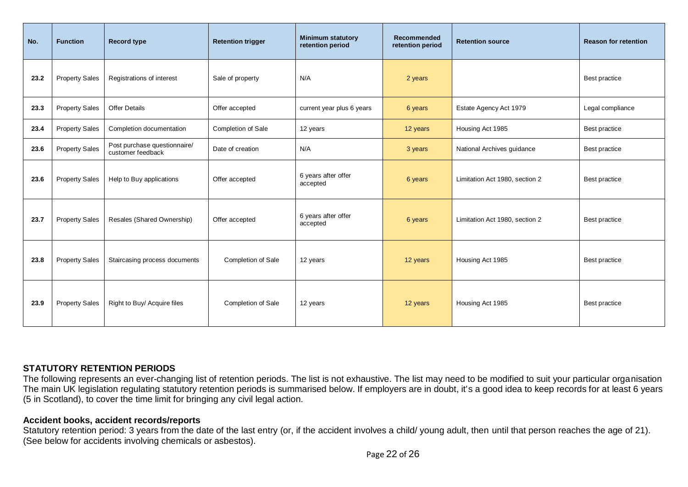| No.  | <b>Function</b>       | <b>Record type</b>                                | <b>Retention trigger</b> | <b>Minimum statutory</b><br>retention period | <b>Recommended</b><br>retention period | <b>Retention source</b>        | <b>Reason for retention</b> |
|------|-----------------------|---------------------------------------------------|--------------------------|----------------------------------------------|----------------------------------------|--------------------------------|-----------------------------|
| 23.2 | <b>Property Sales</b> | Registrations of interest                         | Sale of property         | N/A                                          | 2 years                                |                                | Best practice               |
| 23.3 | <b>Property Sales</b> | <b>Offer Details</b>                              | Offer accepted           | current year plus 6 years                    | 6 years                                | Estate Agency Act 1979         | Legal compliance            |
| 23.4 | <b>Property Sales</b> | Completion documentation                          | Completion of Sale       | 12 years                                     | 12 years                               | Housing Act 1985               | Best practice               |
| 23.6 | <b>Property Sales</b> | Post purchase questionnaire/<br>customer feedback | Date of creation         | N/A                                          | 3 years                                | National Archives guidance     | Best practice               |
| 23.6 | <b>Property Sales</b> | Help to Buy applications                          | Offer accepted           | 6 years after offer<br>accepted              | 6 years                                | Limitation Act 1980, section 2 | Best practice               |
| 23.7 | <b>Property Sales</b> | Resales (Shared Ownership)                        | Offer accepted           | 6 years after offer<br>accepted              | 6 years                                | Limitation Act 1980, section 2 | Best practice               |
| 23.8 | <b>Property Sales</b> | Staircasing process documents                     | Completion of Sale       | 12 years                                     | 12 years                               | Housing Act 1985               | Best practice               |
| 23.9 | <b>Property Sales</b> | Right to Buy/ Acquire files                       | Completion of Sale       | 12 years                                     | 12 years                               | Housing Act 1985               | Best practice               |

# **STATUTORY RETENTION PERIODS**

The following represents an ever-changing list of retention periods. The list is not exhaustive. The list may need to be modified to suit your particular organisation The main UK legislation regulating statutory retention periods is summarised below. If employers are in doubt, it's a good idea to keep records for at least 6 years (5 in Scotland), to cover the time limit for bringing any civil legal action.

## **Accident books, accident records/reports**

Statutory retention period: 3 years from the date of the last entry (or, if the accident involves a child/ young adult, then until that person reaches the age of 21). (See below for accidents involving chemicals or asbestos).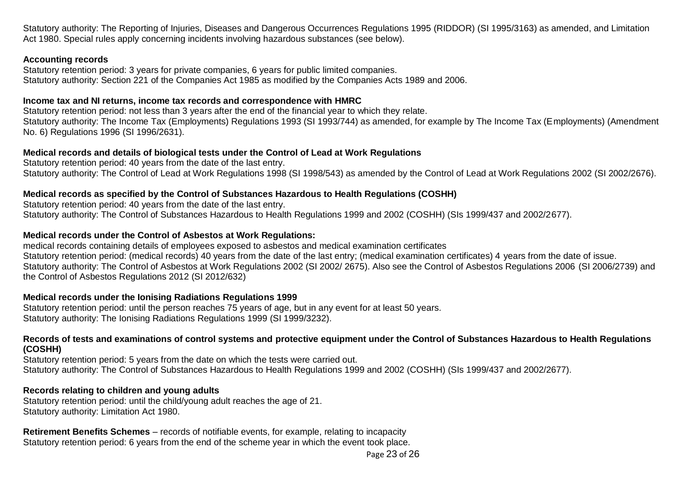Statutory authority: The Reporting of Injuries, Diseases and Dangerous Occurrences Regulations 1995 (RIDDOR) (SI 1995/3163) as amended, and Limitation Act 1980. Special rules apply concerning incidents involving hazardous substances (see below).

## **Accounting records**

Statutory retention period: 3 years for private companies, 6 years for public limited companies. Statutory authority: Section 221 of the Companies Act 1985 as modified by the Companies Acts 1989 and 2006.

## **Income tax and NI returns, income tax records and correspondence with HMRC**

Statutory retention period: not less than 3 years after the end of the financial year to which they relate. Statutory authority: The Income Tax (Employments) Regulations 1993 (SI 1993/744) as amended, for example by The Income Tax (Employments) (Amendment No. 6) Regulations 1996 (SI 1996/2631).

## **Medical records and details of biological tests under the Control of Lead at Work Regulations**

Statutory retention period: 40 years from the date of the last entry. Statutory authority: The Control of Lead at Work Regulations 1998 (SI 1998/543) as amended by the Control of Lead at Work Regulations 2002 (SI 2002/2676).

# **Medical records as specified by the Control of Substances Hazardous to Health Regulations (COSHH)**

Statutory retention period: 40 years from the date of the last entry. Statutory authority: The Control of Substances Hazardous to Health Regulations 1999 and 2002 (COSHH) (SIs 1999/437 and 2002/2677).

# **Medical records under the Control of Asbestos at Work Regulations:**

medical records containing details of employees exposed to asbestos and medical examination certificates Statutory retention period: (medical records) 40 years from the date of the last entry; (medical examination certificates) 4 years from the date of issue. Statutory authority: The Control of Asbestos at Work Regulations 2002 (SI 2002/ 2675). Also see the Control of Asbestos Regulations 2006 (SI 2006/2739) and the Control of Asbestos Regulations 2012 (SI 2012/632)

# **Medical records under the Ionising Radiations Regulations 1999**

Statutory retention period: until the person reaches 75 years of age, but in any event for at least 50 years. Statutory authority: The Ionising Radiations Regulations 1999 (SI 1999/3232).

## **Records of tests and examinations of control systems and protective equipment under the Control of Substances Hazardous to Health Regulations (COSHH)**

Statutory retention period: 5 years from the date on which the tests were carried out. Statutory authority: The Control of Substances Hazardous to Health Regulations 1999 and 2002 (COSHH) (SIs 1999/437 and 2002/2677).

# **Records relating to children and young adults**

Statutory retention period: until the child/young adult reaches the age of 21. Statutory authority: Limitation Act 1980.

**Retirement Benefits Schemes** – records of notifiable events, for example, relating to incapacity Statutory retention period: 6 years from the end of the scheme year in which the event took place.

Page 23 of 26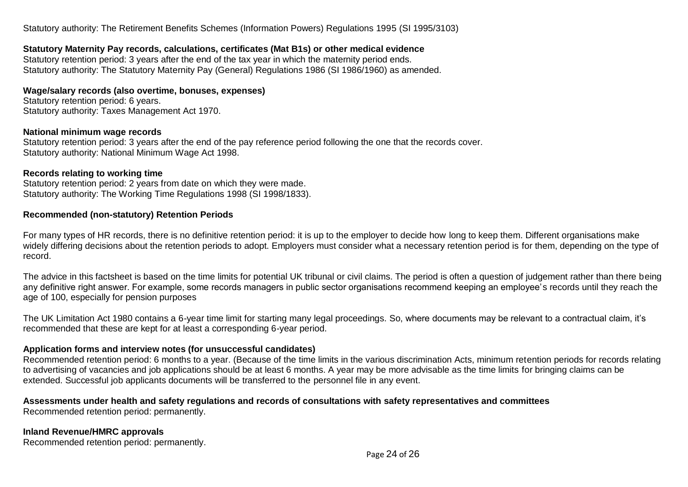Statutory authority: The Retirement Benefits Schemes (Information Powers) Regulations 1995 (SI 1995/3103)

# **Statutory Maternity Pay records, calculations, certificates (Mat B1s) or other medical evidence**

Statutory retention period: 3 years after the end of the tax year in which the maternity period ends. Statutory authority: The Statutory Maternity Pay (General) Regulations 1986 (SI 1986/1960) as amended.

## **Wage/salary records (also overtime, bonuses, expenses)**

Statutory retention period: 6 years. Statutory authority: Taxes Management Act 1970.

## **National minimum wage records**

Statutory retention period: 3 years after the end of the pay reference period following the one that the records cover. Statutory authority: National Minimum Wage Act 1998.

## **Records relating to working time**

Statutory retention period: 2 years from date on which they were made. Statutory authority: The Working Time Regulations 1998 (SI 1998/1833).

## **Recommended (non-statutory) Retention Periods**

For many types of HR records, there is no definitive retention period: it is up to the employer to decide how long to keep them. Different organisations make widely differing decisions about the retention periods to adopt. Employers must consider what a necessary retention period is for them, depending on the type of record.

The advice in this factsheet is based on the time limits for potential UK tribunal or civil claims. The period is often a question of judgement rather than there being any definitive right answer. For example, some records managers in public sector organisations recommend keeping an employee's records until they reach the age of 100, especially for pension purposes

The UK Limitation Act 1980 contains a 6-year time limit for starting many legal proceedings. So, where documents may be relevant to a contractual claim, it's recommended that these are kept for at least a corresponding 6-year period.

## **Application forms and interview notes (for unsuccessful candidates)**

Recommended retention period: 6 months to a year. (Because of the time limits in the various discrimination Acts, minimum retention periods for records relating to advertising of vacancies and job applications should be at least 6 months. A year may be more advisable as the time limits for bringing claims can be extended. Successful job applicants documents will be transferred to the personnel file in any event.

# **Assessments under health and safety regulations and records of consultations with safety representatives and committees**

Recommended retention period: permanently.

## **Inland Revenue/HMRC approvals**

Recommended retention period: permanently.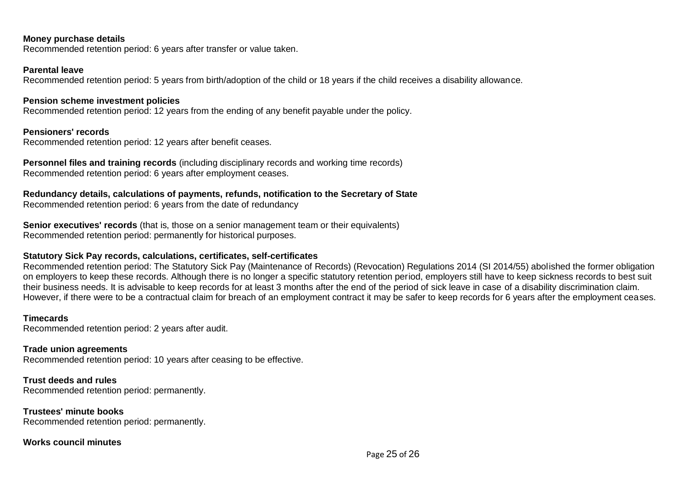#### **Money purchase details**

Recommended retention period: 6 years after transfer or value taken.

## **Parental leave**

Recommended retention period: 5 years from birth/adoption of the child or 18 years if the child receives a disability allowance.

#### **Pension scheme investment policies**

Recommended retention period: 12 years from the ending of any benefit payable under the policy.

## **Pensioners' records**

Recommended retention period: 12 years after benefit ceases.

**Personnel files and training records** (including disciplinary records and working time records) Recommended retention period: 6 years after employment ceases.

**Redundancy details, calculations of payments, refunds, notification to the Secretary of State**

Recommended retention period: 6 years from the date of redundancy

**Senior executives' records** (that is, those on a senior management team or their equivalents) Recommended retention period: permanently for historical purposes.

# **Statutory Sick Pay records, calculations, certificates, self-certificates**

Recommended retention period: The Statutory Sick Pay (Maintenance of Records) (Revocation) Regulations 2014 (SI 2014/55) abolished the former obligation on employers to keep these records. Although there is no longer a specific statutory retention period, employers still have to keep sickness records to best suit their business needs. It is advisable to keep records for at least 3 months after the end of the period of sick leave in case of a disability discrimination claim. However, if there were to be a contractual claim for breach of an employment contract it may be safer to keep records for 6 years after the employment ceases.

#### **Timecards**

Recommended retention period: 2 years after audit.

## **Trade union agreements**

Recommended retention period: 10 years after ceasing to be effective.

## **Trust deeds and rules**

Recommended retention period: permanently.

# **Trustees' minute books**

Recommended retention period: permanently.

# **Works council minutes**